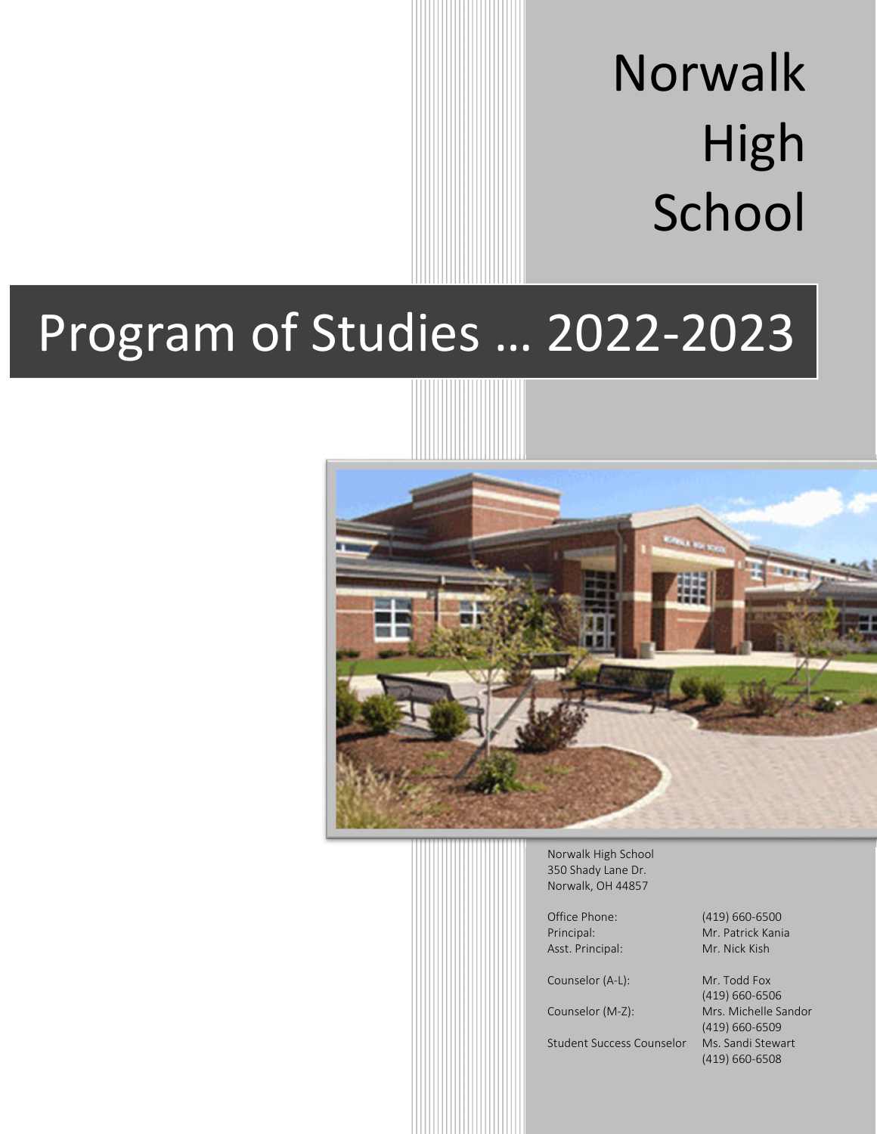# Norwalk High School

# Program of Studies … 2022-2023



Norwalk High School 350 Shady Lane Dr. Norwalk, OH 44857

Asst. Principal: Mr. Nick Kish

Counselor (A-L): Mr. Todd Fox

Student Success Counselor Ms. Sandi Stewart

Office Phone: (419) 660-6500 Principal: Mr. Patrick Kania

 (419) 660-6506 Counselor (M-Z): Mrs. Michelle Sandor (419) 660-6509 (419) 660-6508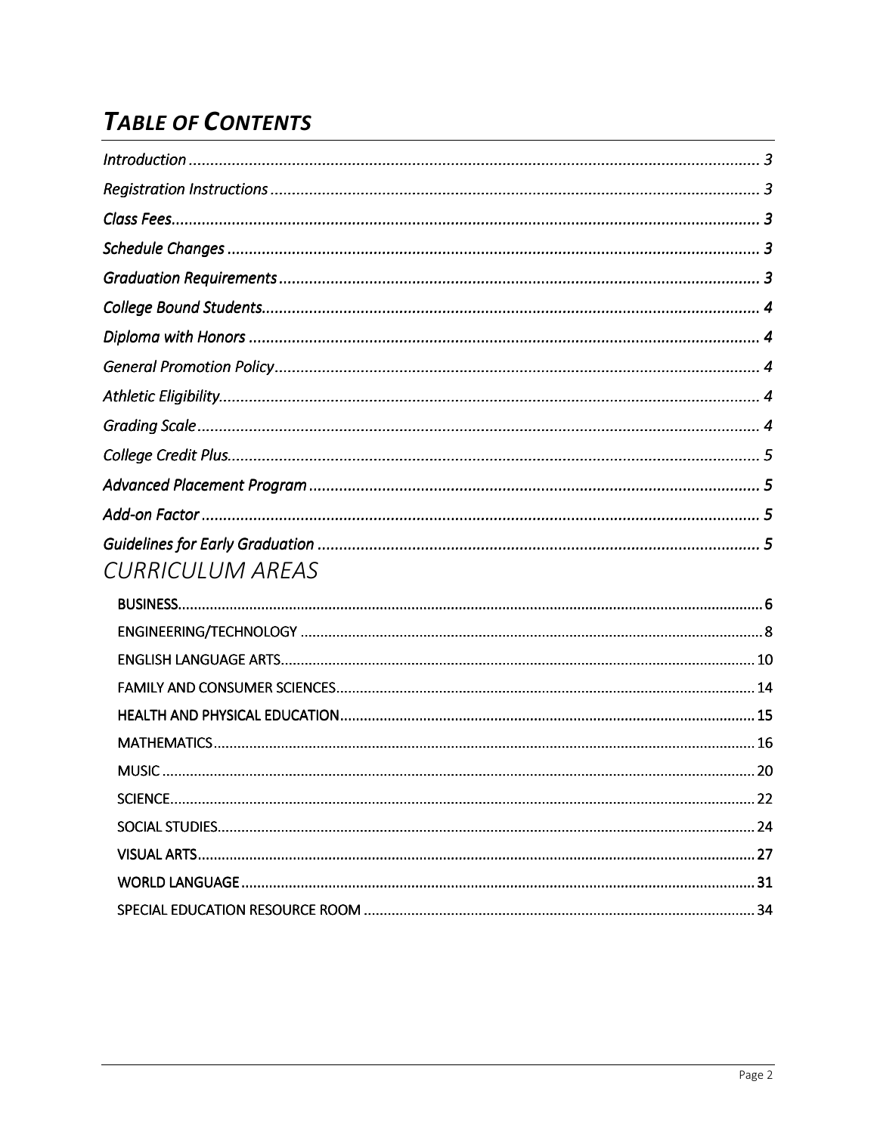# **TABLE OF CONTENTS**

| <b>CURRICULUM AREAS</b> |  |
|-------------------------|--|
|                         |  |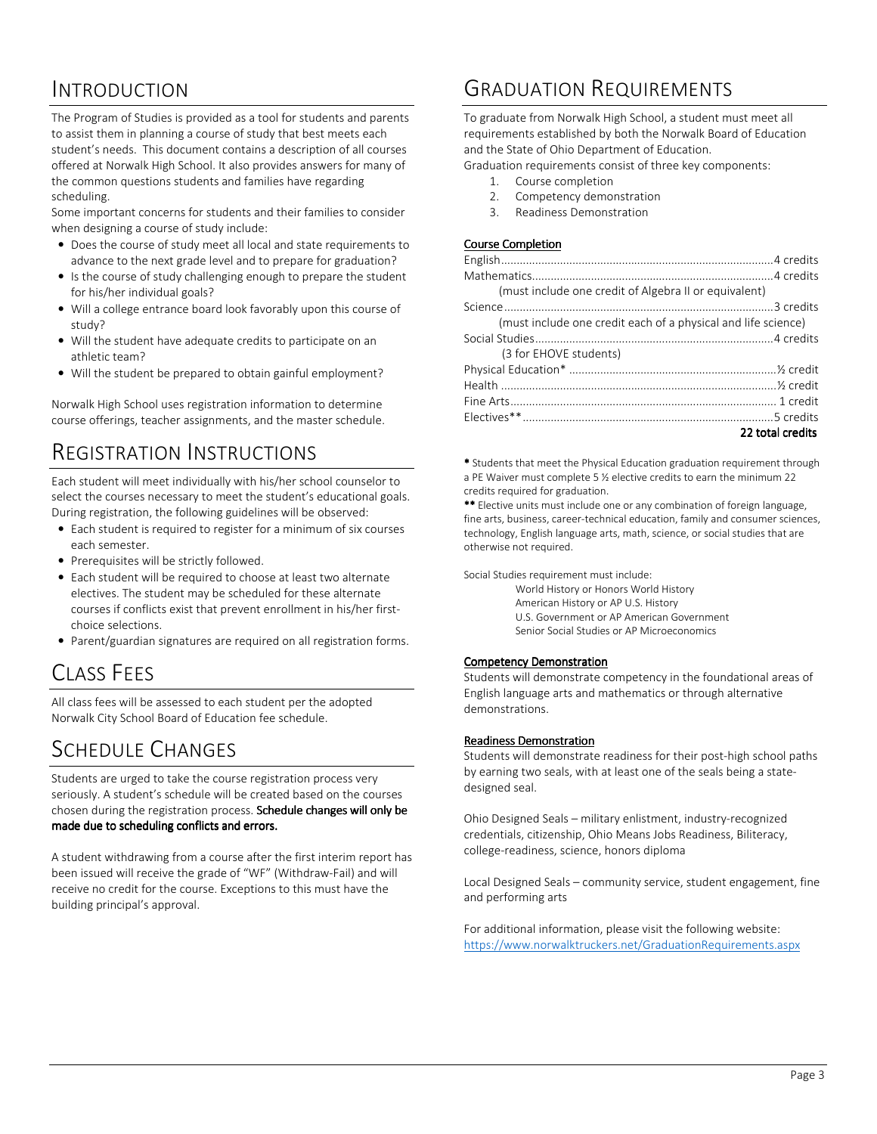# INTRODUCTION

The Program of Studies is provided as a tool for students and parents to assist them in planning a course of study that best meets each student's needs. This document contains a description of all courses offered at Norwalk High School. It also provides answers for many of the common questions students and families have regarding scheduling.

Some important concerns for students and their families to consider when designing a course of study include:

- Does the course of study meet all local and state requirements to advance to the next grade level and to prepare for graduation?
- Is the course of study challenging enough to prepare the student for his/her individual goals?
- Will a college entrance board look favorably upon this course of study?
- Will the student have adequate credits to participate on an athletic team?
- Will the student be prepared to obtain gainful employment?

Norwalk High School uses registration information to determine course offerings, teacher assignments, and the master schedule.

# REGISTRATION INSTRUCTIONS

Each student will meet individually with his/her school counselor to select the courses necessary to meet the student's educational goals. During registration, the following guidelines will be observed:

- Each student is required to register for a minimum of six courses each semester.
- Prerequisites will be strictly followed.
- Each student will be required to choose at least two alternate electives. The student may be scheduled for these alternate courses if conflicts exist that prevent enrollment in his/her firstchoice selections.
- Parent/guardian signatures are required on all registration forms.

# CLASS FEES

All class fees will be assessed to each student per the adopted Norwalk City School Board of Education fee schedule.

# SCHEDULE CHANGES

Students are urged to take the course registration process very seriously. A student's schedule will be created based on the courses chosen during the registration process. Schedule changes will only be made due to scheduling conflicts and errors.

A student withdrawing from a course after the first interim report has been issued will receive the grade of "WF" (Withdraw-Fail) and will receive no credit for the course. Exceptions to this must have the building principal's approval.

# GRADUATION REQUIREMENTS

To graduate from Norwalk High School, a student must meet all requirements established by both the Norwalk Board of Education and the State of Ohio Department of Education.

Graduation requirements consist of three key components:

- 1. Course completion
- 2. Competency demonstration
- 3. Readiness Demonstration

#### Course Completion

\* Students that meet the Physical Education graduation requirement through a PE Waiver must complete 5 ½ elective credits to earn the minimum 22 credits required for graduation.

\*\* Elective units must include one or any combination of foreign language, fine arts, business, career-technical education, family and consumer sciences, technology, English language arts, math, science, or social studies that are otherwise not required.

Social Studies requirement must include:

 World History or Honors World History American History or AP U.S. History U.S. Government or AP American Government Senior Social Studies or AP Microeconomics

#### Competency Demonstration

Students will demonstrate competency in the foundational areas of English language arts and mathematics or through alternative demonstrations.

#### Readiness Demonstration

Students will demonstrate readiness for their post-high school paths by earning two seals, with at least one of the seals being a statedesigned seal.

Ohio Designed Seals – military enlistment, industry-recognized credentials, citizenship, Ohio Means Jobs Readiness, Biliteracy, college-readiness, science, honors diploma

Local Designed Seals – community service, student engagement, fine and performing arts

For additional information, please visit the following website: https://www.norwalktruckers.net/GraduationRequirements.aspx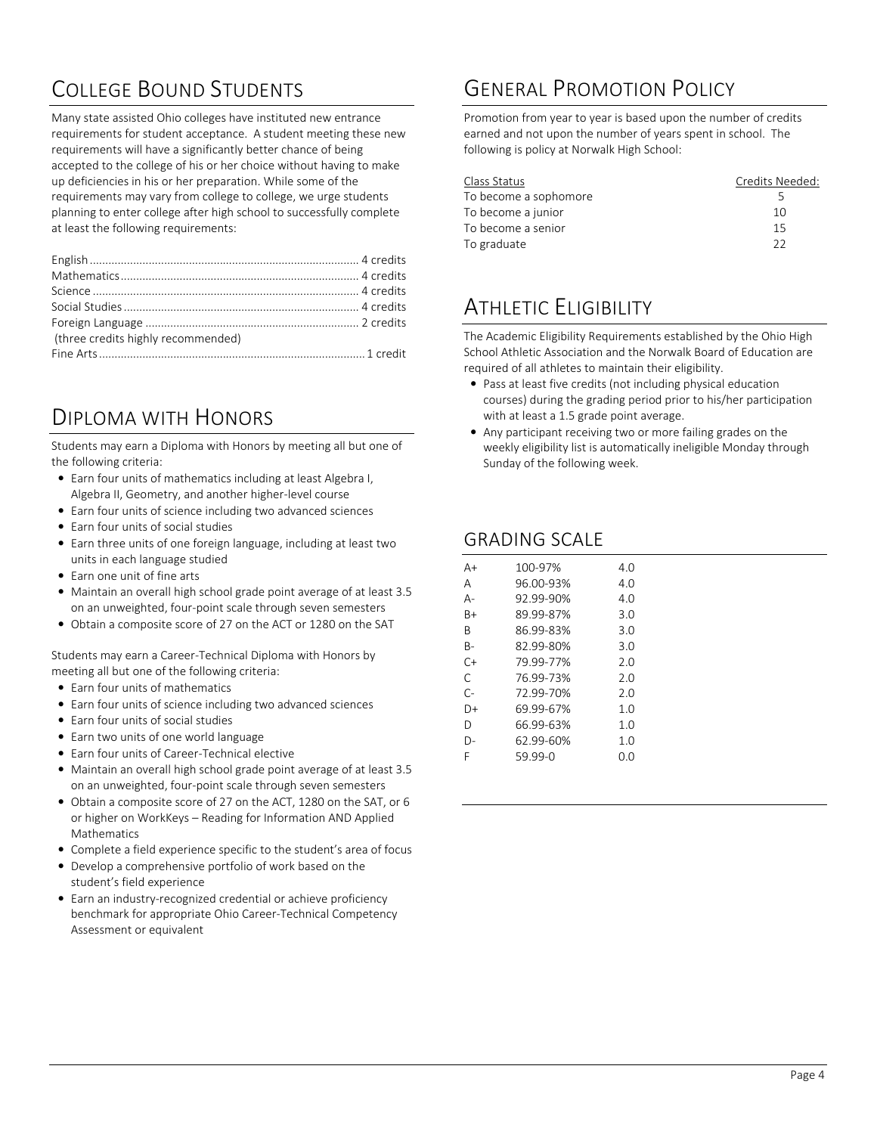# COLLEGE BOUND STUDENTS

Many state assisted Ohio colleges have instituted new entrance requirements for student acceptance. A student meeting these new requirements will have a significantly better chance of being accepted to the college of his or her choice without having to make up deficiencies in his or her preparation. While some of the requirements may vary from college to college, we urge students planning to enter college after high school to successfully complete at least the following requirements:

| (three credits highly recommended) |  |
|------------------------------------|--|
|                                    |  |
|                                    |  |

# DIPLOMA WITH HONORS

Students may earn a Diploma with Honors by meeting all but one of the following criteria:

- Earn four units of mathematics including at least Algebra I, Algebra II, Geometry, and another higher-level course
- Earn four units of science including two advanced sciences
- Earn four units of social studies
- Earn three units of one foreign language, including at least two units in each language studied
- Earn one unit of fine arts
- Maintain an overall high school grade point average of at least 3.5 on an unweighted, four-point scale through seven semesters
- Obtain a composite score of 27 on the ACT or 1280 on the SAT

Students may earn a Career-Technical Diploma with Honors by meeting all but one of the following criteria:

- Earn four units of mathematics
- Earn four units of science including two advanced sciences
- Earn four units of social studies
- Earn two units of one world language
- Earn four units of Career-Technical elective
- Maintain an overall high school grade point average of at least 3.5 on an unweighted, four-point scale through seven semesters
- Obtain a composite score of 27 on the ACT, 1280 on the SAT, or 6 or higher on WorkKeys – Reading for Information AND Applied Mathematics
- Complete a field experience specific to the student's area of focus
- Develop a comprehensive portfolio of work based on the student's field experience
- Earn an industry-recognized credential or achieve proficiency benchmark for appropriate Ohio Career-Technical Competency Assessment or equivalent

# GENERAL PROMOTION POLICY

Promotion from year to year is based upon the number of credits earned and not upon the number of years spent in school. The following is policy at Norwalk High School:

| Class Status          | Credits Needed: |
|-----------------------|-----------------|
| To become a sophomore | ↳               |
| To become a junior    | 10              |
| To become a senior    | 15              |
| To graduate           | つつ              |

# ATHLETIC FLIGIBILITY

The Academic Eligibility Requirements established by the Ohio High School Athletic Association and the Norwalk Board of Education are required of all athletes to maintain their eligibility.

- Pass at least five credits (not including physical education courses) during the grading period prior to his/her participation with at least a 1.5 grade point average.
- Any participant receiving two or more failing grades on the weekly eligibility list is automatically ineligible Monday through Sunday of the following week.

# GRADING SCALE

| A+    | 100-97%   | 4.O |
|-------|-----------|-----|
|       |           |     |
| А     | 96.00-93% | 4.O |
| А-    | 92.99-90% | 4.0 |
| B+    | 89.99-87% | 3.0 |
| B     | 86.99-83% | 3.0 |
| B-    | 82.99-80% | 3.0 |
| $C+$  | 79.99-77% | 2.0 |
| C     | 76.99-73% | 2.0 |
| $C -$ | 72.99-70% | 2.0 |
| D+    | 69.99-67% | 1.0 |
| D     | 66.99-63% | 1.0 |
| D-    | 62.99-60% | 1.0 |
| F     | 59.99-0   | 0.O |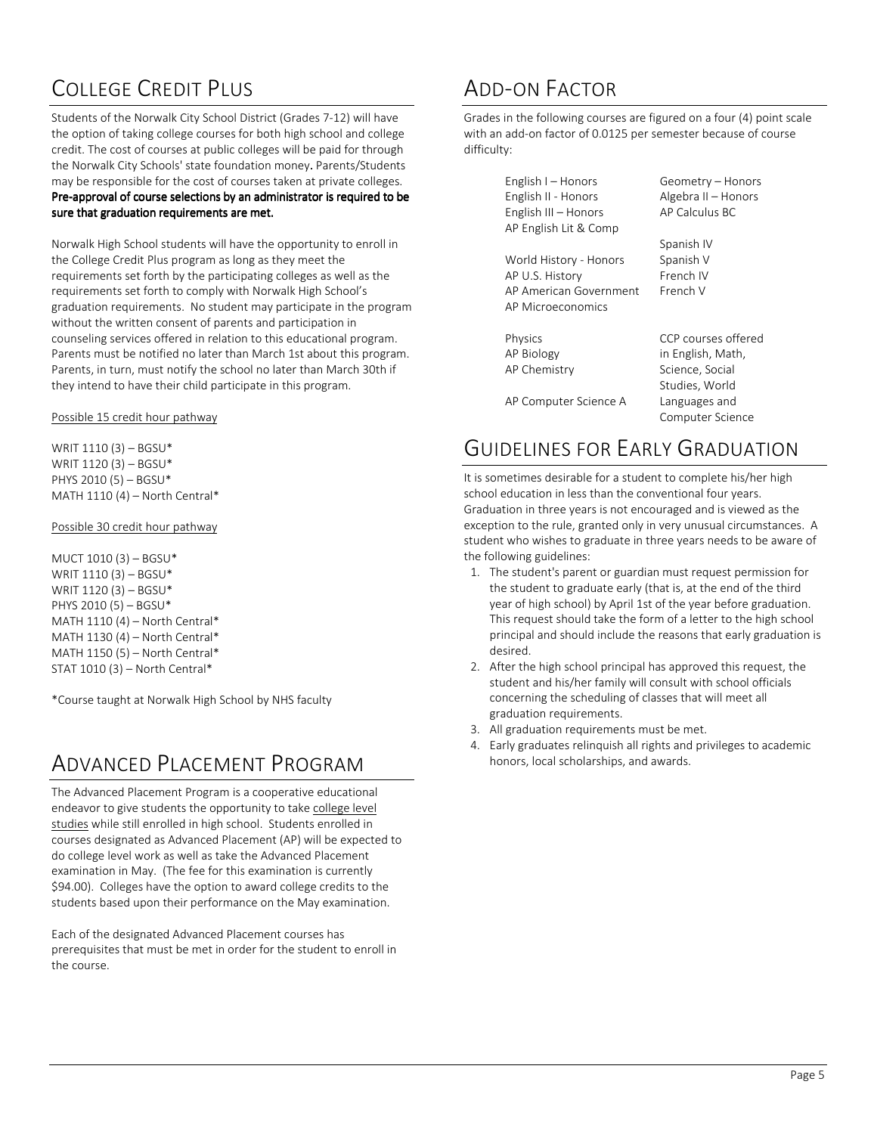# COLLEGE CREDIT PLUS

Students of the Norwalk City School District (Grades 7-12) will have the option of taking college courses for both high school and college credit. The cost of courses at public colleges will be paid for through the Norwalk City Schools' state foundation money. Parents/Students may be responsible for the cost of courses taken at private colleges.

#### Pre-approval of course selections by an administrator is required to be sure that graduation requirements are met.

Norwalk High School students will have the opportunity to enroll in the College Credit Plus program as long as they meet the requirements set forth by the participating colleges as well as the requirements set forth to comply with Norwalk High School's graduation requirements. No student may participate in the program without the written consent of parents and participation in counseling services offered in relation to this educational program. Parents must be notified no later than March 1st about this program. Parents, in turn, must notify the school no later than March 30th if they intend to have their child participate in this program.

#### Possible 15 credit hour pathway

WRIT 1110 (3) – BGSU\* WRIT 1120 (3) – BGSU\* PHYS 2010 (5) – BGSU\* MATH 1110 (4) – North Central\*

#### Possible 30 credit hour pathway

MUCT 1010 (3) – BGSU\* WRIT 1110 (3) – BGSU\* WRIT 1120 (3) – BGSU\* PHYS 2010 (5) – BGSU\* MATH 1110 (4) – North Central\* MATH 1130 (4) – North Central\* MATH 1150 (5) – North Central\* STAT 1010 (3) – North Central\*

\*Course taught at Norwalk High School by NHS faculty

# ADVANCED PLACEMENT PROGRAM

The Advanced Placement Program is a cooperative educational endeavor to give students the opportunity to take college level studies while still enrolled in high school. Students enrolled in courses designated as Advanced Placement (AP) will be expected to do college level work as well as take the Advanced Placement examination in May. (The fee for this examination is currently \$94.00). Colleges have the option to award college credits to the students based upon their performance on the May examination.

Each of the designated Advanced Placement courses has prerequisites that must be met in order for the student to enroll in the course.

# ADD-ON FACTOR

Grades in the following courses are figured on a four (4) point scale with an add-on factor of 0.0125 per semester because of course difficulty:

| English I – Honors<br>English II - Honors<br>English III - Honors | Geometry - Honors<br>Algebra II - Honors<br>AP Calculus BC |
|-------------------------------------------------------------------|------------------------------------------------------------|
| AP English Lit & Comp                                             | Spanish IV                                                 |
| World History - Honors                                            | Spanish V                                                  |
| AP U.S. History                                                   | French IV                                                  |
| AP American Government                                            | French V                                                   |
| <b>AP Microeconomics</b>                                          |                                                            |
| Physics                                                           | CCP courses offered                                        |
| AP Biology                                                        | in English, Math,                                          |
| AP Chemistry                                                      | Science, Social                                            |
|                                                                   | Studies, World                                             |
| AP Computer Science A                                             | Languages and                                              |
|                                                                   | Computer Science                                           |

# GUIDELINES FOR EARLY GRADUATION

It is sometimes desirable for a student to complete his/her high school education in less than the conventional four years. Graduation in three years is not encouraged and is viewed as the exception to the rule, granted only in very unusual circumstances. A student who wishes to graduate in three years needs to be aware of the following guidelines:

- 1. The student's parent or guardian must request permission for the student to graduate early (that is, at the end of the third year of high school) by April 1st of the year before graduation. This request should take the form of a letter to the high school principal and should include the reasons that early graduation is desired.
- 2. After the high school principal has approved this request, the student and his/her family will consult with school officials concerning the scheduling of classes that will meet all graduation requirements.
- 3. All graduation requirements must be met.
- 4. Early graduates relinquish all rights and privileges to academic honors, local scholarships, and awards.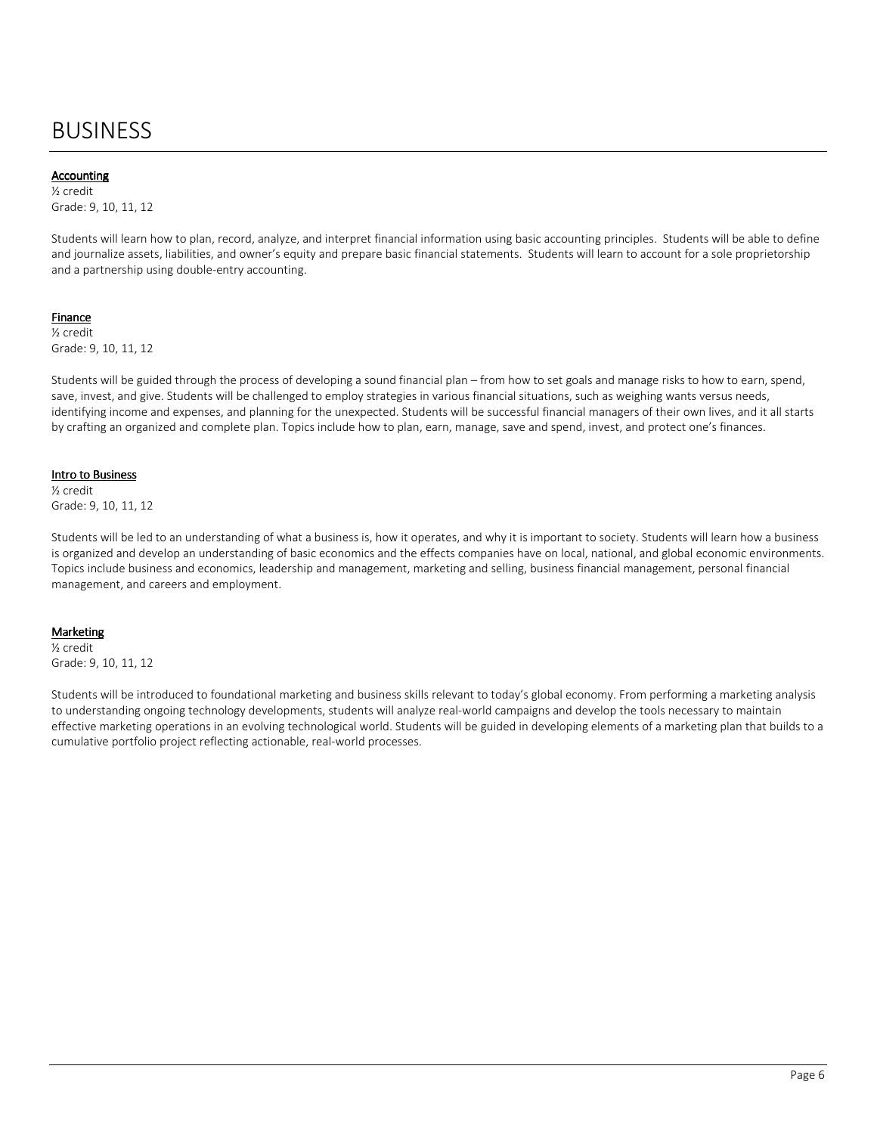# BUSINESS

### Accounting Accounting

½ credit Grade: 9, 10, 11, 12

Students will learn how to plan, record, analyze, and interpret financial information using basic accounting principles. Students will be able to define and journalize assets, liabilities, and owner's equity and prepare basic financial statements. Students will learn to account for a sole proprietorship and a partnership using double-entry accounting.

### Finance

½ credit Grade: 9, 10, 11, 12

Students will be guided through the process of developing a sound financial plan – from how to set goals and manage risks to how to earn, spend, save, invest, and give. Students will be challenged to employ strategies in various financial situations, such as weighing wants versus needs, identifying income and expenses, and planning for the unexpected. Students will be successful financial managers of their own lives, and it all starts by crafting an organized and complete plan. Topics include how to plan, earn, manage, save and spend, invest, and protect one's finances.

#### Intro to Business

½ credit Grade: 9, 10, 11, 12

Students will be led to an understanding of what a business is, how it operates, and why it is important to society. Students will learn how a business is organized and develop an understanding of basic economics and the effects companies have on local, national, and global economic environments. Topics include business and economics, leadership and management, marketing and selling, business financial management, personal financial management, and careers and employment.

#### **Marketing**

½ credit Grade: 9, 10, 11, 12

Students will be introduced to foundational marketing and business skills relevant to today's global economy. From performing a marketing analysis to understanding ongoing technology developments, students will analyze real-world campaigns and develop the tools necessary to maintain effective marketing operations in an evolving technological world. Students will be guided in developing elements of a marketing plan that builds to a cumulative portfolio project reflecting actionable, real-world processes.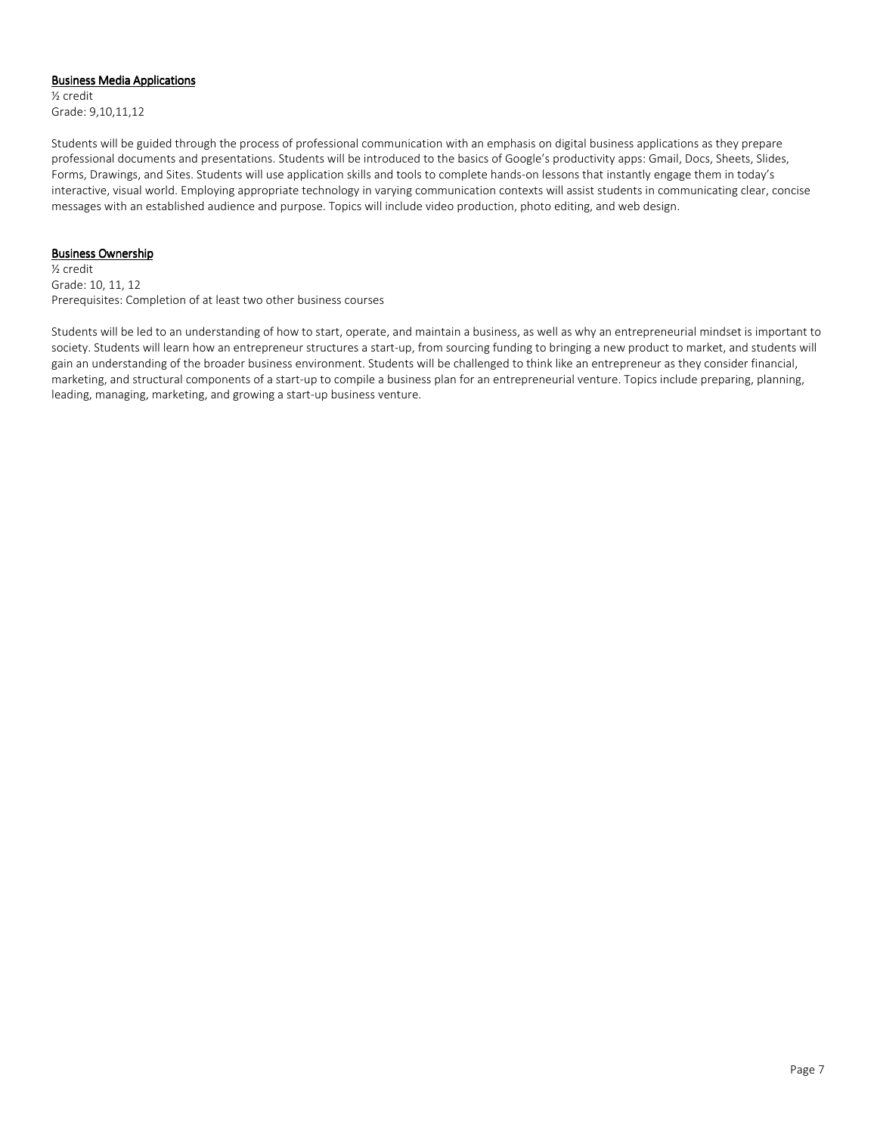#### **Business Media Applications**

½ credit Grade: 9,10,11,12

Students will be guided through the process of professional communication with an emphasis on digital business applications as they prepare professional documents and presentations. Students will be introduced to the basics of Google's productivity apps: Gmail, Docs, Sheets, Slides, Forms, Drawings, and Sites. Students will use application skills and tools to complete hands-on lessons that instantly engage them in today's interactive, visual world. Employing appropriate technology in varying communication contexts will assist students in communicating clear, concise messages with an established audience and purpose. Topics will include video production, photo editing, and web design.

### **Business Ownership**

½ credit Grade: 10, 11, 12 Prerequisites: Completion of at least two other business courses

Students will be led to an understanding of how to start, operate, and maintain a business, as well as why an entrepreneurial mindset is important to society. Students will learn how an entrepreneur structures a start-up, from sourcing funding to bringing a new product to market, and students will gain an understanding of the broader business environment. Students will be challenged to think like an entrepreneur as they consider financial, marketing, and structural components of a start-up to compile a business plan for an entrepreneurial venture. Topics include preparing, planning, leading, managing, marketing, and growing a start-up business venture.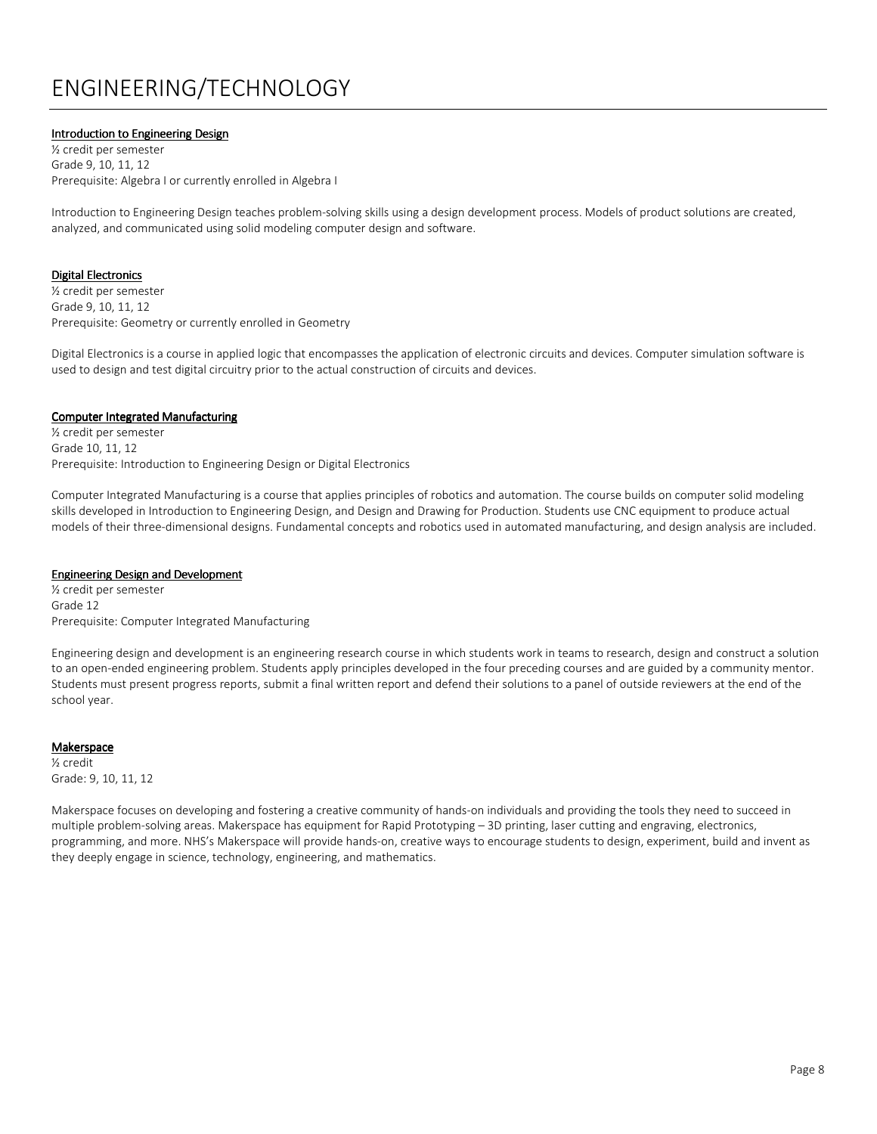# ENGINEERING/TECHNOLOGY

### Introduction to Engineering Design

½ credit per semester Grade 9, 10, 11, 12 Prerequisite: Algebra I or currently enrolled in Algebra I

Introduction to Engineering Design teaches problem-solving skills using a design development process. Models of product solutions are created, analyzed, and communicated using solid modeling computer design and software.

#### **Digital Electronics**

½ credit per semester Grade 9, 10, 11, 12 Prerequisite: Geometry or currently enrolled in Geometry

Digital Electronics is a course in applied logic that encompasses the application of electronic circuits and devices. Computer simulation software is used to design and test digital circuitry prior to the actual construction of circuits and devices.

#### **Computer Integrated Manufacturing**

½ credit per semester Grade 10, 11, 12 Prerequisite: Introduction to Engineering Design or Digital Electronics

Computer Integrated Manufacturing is a course that applies principles of robotics and automation. The course builds on computer solid modeling skills developed in Introduction to Engineering Design, and Design and Drawing for Production. Students use CNC equipment to produce actual models of their three-dimensional designs. Fundamental concepts and robotics used in automated manufacturing, and design analysis are included.

#### **Engineering Design and Development**

½ credit per semester Grade 12 Prerequisite: Computer Integrated Manufacturing

Engineering design and development is an engineering research course in which students work in teams to research, design and construct a solution to an open-ended engineering problem. Students apply principles developed in the four preceding courses and are guided by a community mentor. Students must present progress reports, submit a final written report and defend their solutions to a panel of outside reviewers at the end of the school year.

#### Makerspace

½ credit Grade: 9, 10, 11, 12

Makerspace focuses on developing and fostering a creative community of hands-on individuals and providing the tools they need to succeed in multiple problem-solving areas. Makerspace has equipment for Rapid Prototyping – 3D printing, laser cutting and engraving, electronics, programming, and more. NHS's Makerspace will provide hands-on, creative ways to encourage students to design, experiment, build and invent as they deeply engage in science, technology, engineering, and mathematics.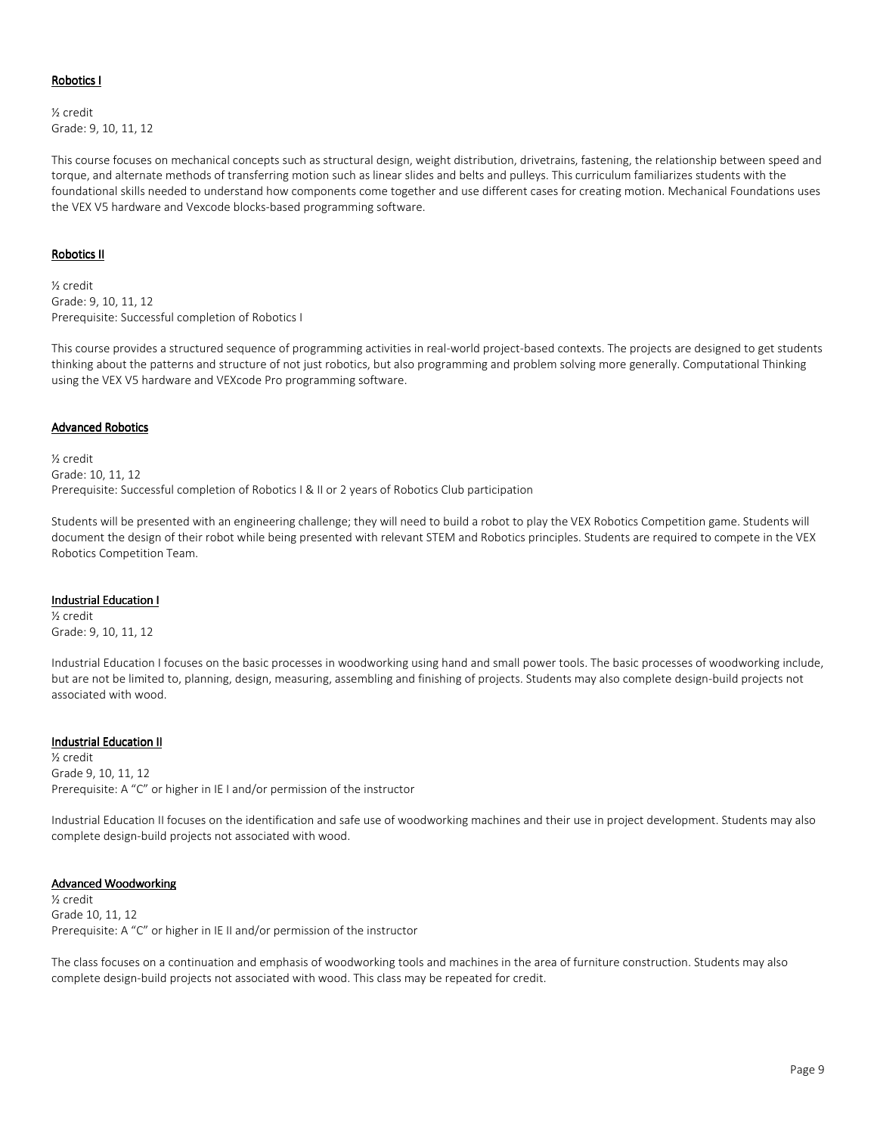#### Robotics I

½ credit Grade: 9, 10, 11, 12

This course focuses on mechanical concepts such as structural design, weight distribution, drivetrains, fastening, the relationship between speed and torque, and alternate methods of transferring motion such as linear slides and belts and pulleys. This curriculum familiarizes students with the foundational skills needed to understand how components come together and use different cases for creating motion. Mechanical Foundations uses the VEX V5 hardware and Vexcode blocks-based programming software.

#### Robotics II

½ credit Grade: 9, 10, 11, 12 Prerequisite: Successful completion of Robotics I

This course provides a structured sequence of programming activities in real-world project-based contexts. The projects are designed to get students thinking about the patterns and structure of not just robotics, but also programming and problem solving more generally. Computational Thinking using the VEX V5 hardware and VEXcode Pro programming software.

#### **Advanced Robotics**

½ credit Grade: 10, 11, 12 Prerequisite: Successful completion of Robotics I & II or 2 years of Robotics Club participation

Students will be presented with an engineering challenge; they will need to build a robot to play the VEX Robotics Competition game. Students will document the design of their robot while being presented with relevant STEM and Robotics principles. Students are required to compete in the VEX Robotics Competition Team.

#### Industrial Education I

½ credit Grade: 9, 10, 11, 12

Industrial Education I focuses on the basic processes in woodworking using hand and small power tools. The basic processes of woodworking include, but are not be limited to, planning, design, measuring, assembling and finishing of projects. Students may also complete design-build projects not associated with wood.

#### Industrial Education II

½ credit Grade 9, 10, 11, 12 Prerequisite: A "C" or higher in IE I and/or permission of the instructor

Industrial Education II focuses on the identification and safe use of woodworking machines and their use in project development. Students may also complete design-build projects not associated with wood.

#### Advanced Woodworking

½ credit Grade 10, 11, 12 Prerequisite: A "C" or higher in IE II and/or permission of the instructor

The class focuses on a continuation and emphasis of woodworking tools and machines in the area of furniture construction. Students may also complete design-build projects not associated with wood. This class may be repeated for credit.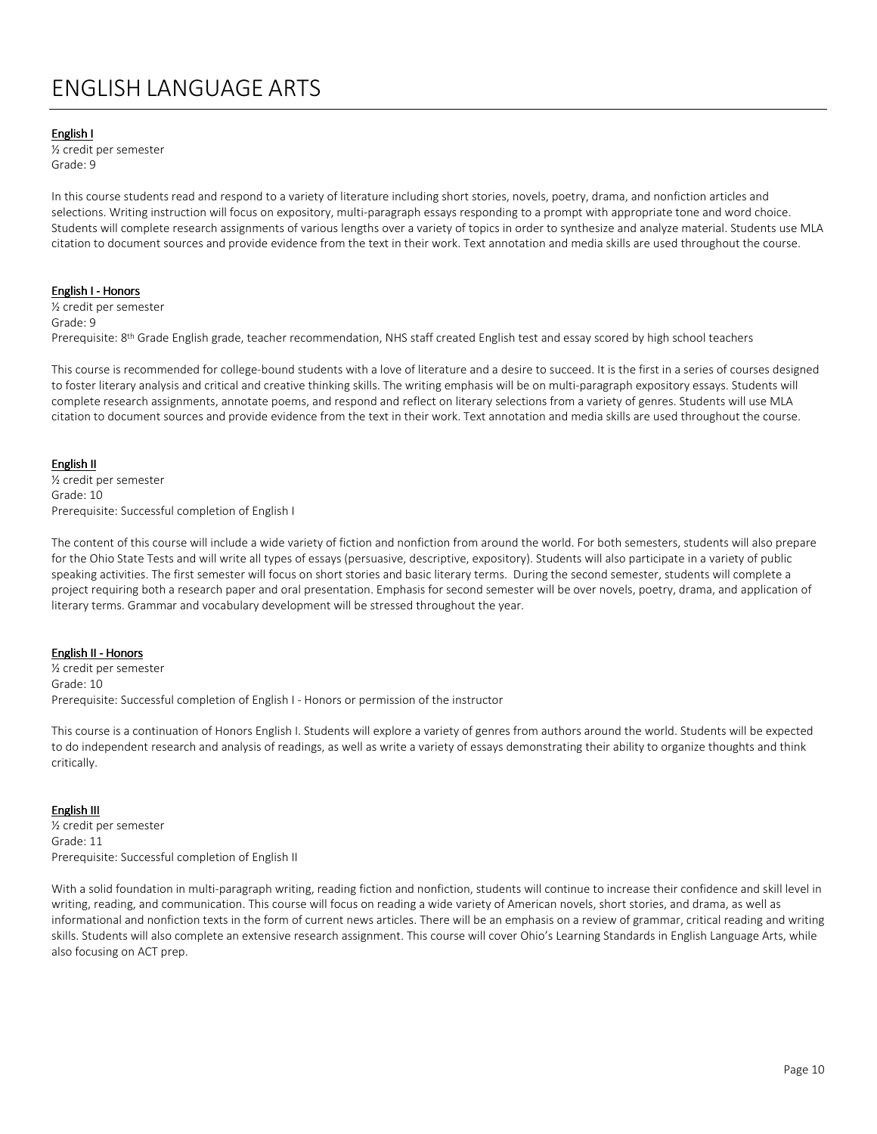# ENGLISH LANGUAGE ARTS

#### English I

½ credit per semester Grade: 9

In this course students read and respond to a variety of literature including short stories, novels, poetry, drama, and nonfiction articles and selections. Writing instruction will focus on expository, multi-paragraph essays responding to a prompt with appropriate tone and word choice. Students will complete research assignments of various lengths over a variety of topics in order to synthesize and analyze material. Students use MLA citation to document sources and provide evidence from the text in their work. Text annotation and media skills are used throughout the course.

#### English I - Honors

½ credit per semester Grade: 9 Prerequisite: 8<sup>th</sup> Grade English grade, teacher recommendation, NHS staff created English test and essay scored by high school teachers

This course is recommended for college-bound students with a love of literature and a desire to succeed. It is the first in a series of courses designed to foster literary analysis and critical and creative thinking skills. The writing emphasis will be on multi-paragraph expository essays. Students will complete research assignments, annotate poems, and respond and reflect on literary selections from a variety of genres. Students will use MLA citation to document sources and provide evidence from the text in their work. Text annotation and media skills are used throughout the course.

#### English II

½ credit per semester Grade: 10 Prerequisite: Successful completion of English I

The content of this course will include a wide variety of fiction and nonfiction from around the world. For both semesters, students will also prepare for the Ohio State Tests and will write all types of essays (persuasive, descriptive, expository). Students will also participate in a variety of public speaking activities. The first semester will focus on short stories and basic literary terms. During the second semester, students will complete a project requiring both a research paper and oral presentation. Emphasis for second semester will be over novels, poetry, drama, and application of literary terms. Grammar and vocabulary development will be stressed throughout the year.

#### English II - Honors

½ credit per semester Grade: 10 Prerequisite: Successful completion of English I - Honors or permission of the instructor

This course is a continuation of Honors English I. Students will explore a variety of genres from authors around the world. Students will be expected to do independent research and analysis of readings, as well as write a variety of essays demonstrating their ability to organize thoughts and think critically.

#### **English III**

½ credit per semester Grade: 11 Prerequisite: Successful completion of English II

With a solid foundation in multi-paragraph writing, reading fiction and nonfiction, students will continue to increase their confidence and skill level in writing, reading, and communication. This course will focus on reading a wide variety of American novels, short stories, and drama, as well as informational and nonfiction texts in the form of current news articles. There will be an emphasis on a review of grammar, critical reading and writing skills. Students will also complete an extensive research assignment. This course will cover Ohio's Learning Standards in English Language Arts, while also focusing on ACT prep.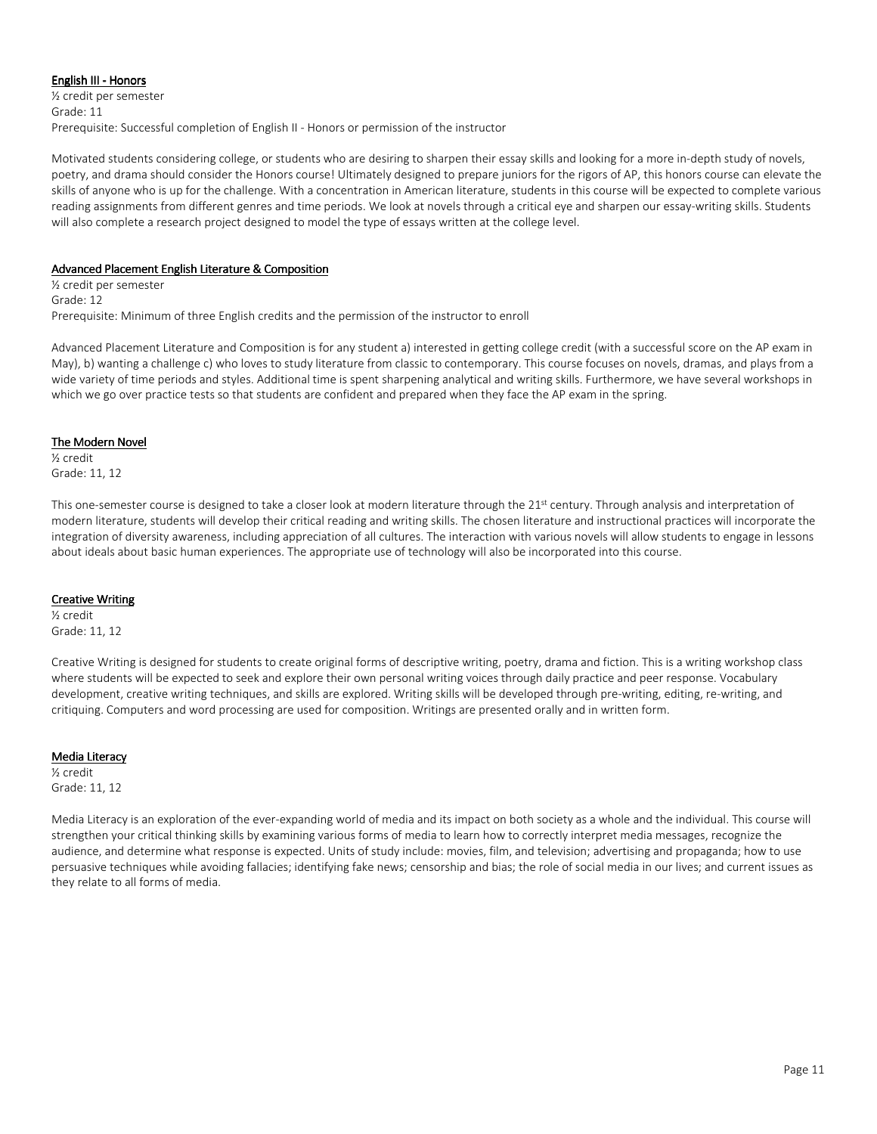#### English III - Honors

½ credit per semester Grade: 11 Prerequisite: Successful completion of English II - Honors or permission of the instructor

Motivated students considering college, or students who are desiring to sharpen their essay skills and looking for a more in-depth study of novels, poetry, and drama should consider the Honors course! Ultimately designed to prepare juniors for the rigors of AP, this honors course can elevate the skills of anyone who is up for the challenge. With a concentration in American literature, students in this course will be expected to complete various reading assignments from different genres and time periods. We look at novels through a critical eye and sharpen our essay-writing skills. Students will also complete a research project designed to model the type of essays written at the college level.

# Advanced Placement English Literature & Composition

½ credit per semester Grade: 12 Prerequisite: Minimum of three English credits and the permission of the instructor to enroll

Advanced Placement Literature and Composition is for any student a) interested in getting college credit (with a successful score on the AP exam in May), b) wanting a challenge c) who loves to study literature from classic to contemporary. This course focuses on novels, dramas, and plays from a wide variety of time periods and styles. Additional time is spent sharpening analytical and writing skills. Furthermore, we have several workshops in which we go over practice tests so that students are confident and prepared when they face the AP exam in the spring.

# The Modern Novel

½ credit Grade: 11, 12

This one-semester course is designed to take a closer look at modern literature through the 21<sup>st</sup> century. Through analysis and interpretation of modern literature, students will develop their critical reading and writing skills. The chosen literature and instructional practices will incorporate the integration of diversity awareness, including appreciation of all cultures. The interaction with various novels will allow students to engage in lessons about ideals about basic human experiences. The appropriate use of technology will also be incorporated into this course.

# **Creative Writing**

½ credit Grade: 11, 12

Creative Writing is designed for students to create original forms of descriptive writing, poetry, drama and fiction. This is a writing workshop class where students will be expected to seek and explore their own personal writing voices through daily practice and peer response. Vocabulary development, creative writing techniques, and skills are explored. Writing skills will be developed through pre-writing, editing, re-writing, and critiquing. Computers and word processing are used for composition. Writings are presented orally and in written form.

# Media Literacy

½ credit Grade: 11, 12

Media Literacy is an exploration of the ever-expanding world of media and its impact on both society as a whole and the individual. This course will strengthen your critical thinking skills by examining various forms of media to learn how to correctly interpret media messages, recognize the audience, and determine what response is expected. Units of study include: movies, film, and television; advertising and propaganda; how to use persuasive techniques while avoiding fallacies; identifying fake news; censorship and bias; the role of social media in our lives; and current issues as they relate to all forms of media.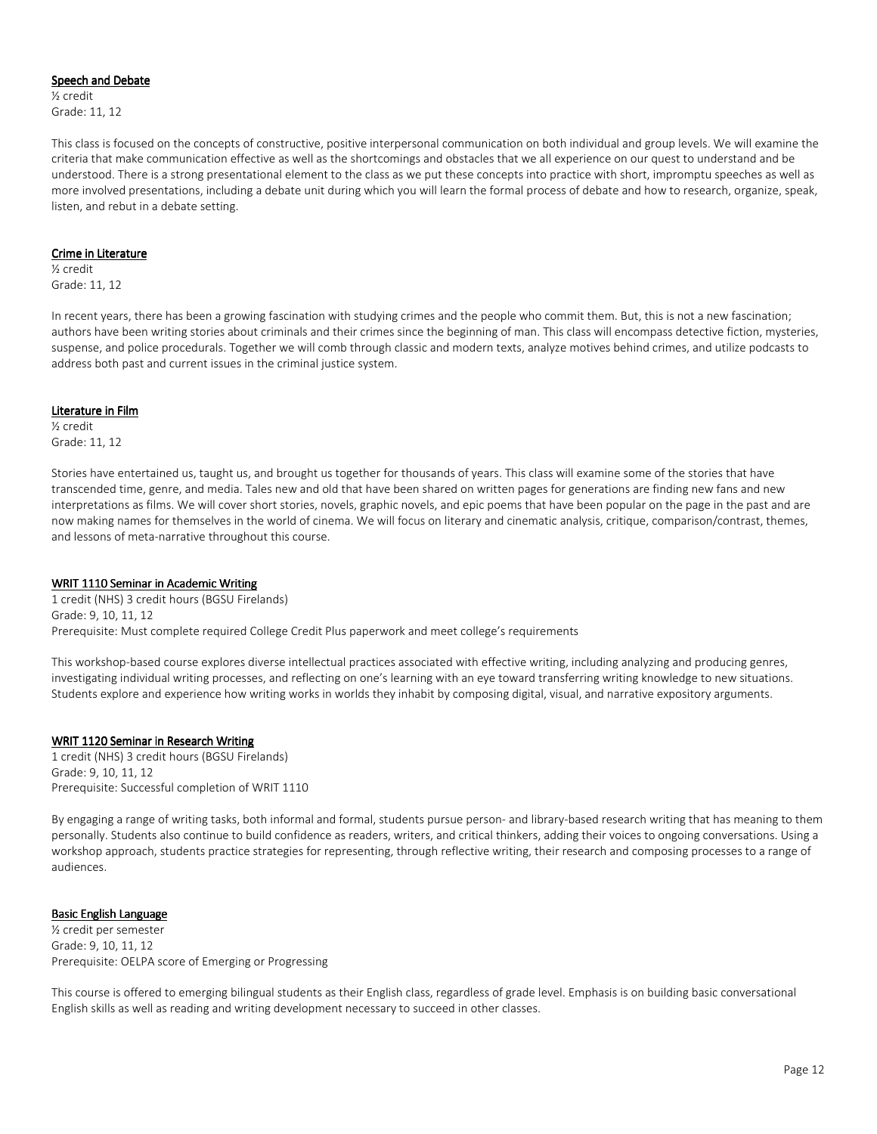#### Speech and Debate

½ credit Grade: 11, 12

This class is focused on the concepts of constructive, positive interpersonal communication on both individual and group levels. We will examine the criteria that make communication effective as well as the shortcomings and obstacles that we all experience on our quest to understand and be understood. There is a strong presentational element to the class as we put these concepts into practice with short, impromptu speeches as well as more involved presentations, including a debate unit during which you will learn the formal process of debate and how to research, organize, speak, listen, and rebut in a debate setting.

#### Crime in Literature

½ credit Grade: 11, 12

In recent years, there has been a growing fascination with studying crimes and the people who commit them. But, this is not a new fascination; authors have been writing stories about criminals and their crimes since the beginning of man. This class will encompass detective fiction, mysteries, suspense, and police procedurals. Together we will comb through classic and modern texts, analyze motives behind crimes, and utilize podcasts to address both past and current issues in the criminal justice system.

#### Literature in Film

½ credit Grade: 11, 12

Stories have entertained us, taught us, and brought us together for thousands of years. This class will examine some of the stories that have transcended time, genre, and media. Tales new and old that have been shared on written pages for generations are finding new fans and new interpretations as films. We will cover short stories, novels, graphic novels, and epic poems that have been popular on the page in the past and are now making names for themselves in the world of cinema. We will focus on literary and cinematic analysis, critique, comparison/contrast, themes, and lessons of meta-narrative throughout this course.

#### WRIT 1110 Seminar in Academic Writing

1 credit (NHS) 3 credit hours (BGSU Firelands) Grade: 9, 10, 11, 12 Prerequisite: Must complete required College Credit Plus paperwork and meet college's requirements

This workshop-based course explores diverse intellectual practices associated with effective writing, including analyzing and producing genres, investigating individual writing processes, and reflecting on one's learning with an eye toward transferring writing knowledge to new situations. Students explore and experience how writing works in worlds they inhabit by composing digital, visual, and narrative expository arguments.

#### WRIT 1120 Seminar in Research Writing

1 credit (NHS) 3 credit hours (BGSU Firelands) Grade: 9, 10, 11, 12 Prerequisite: Successful completion of WRIT 1110

By engaging a range of writing tasks, both informal and formal, students pursue person- and library-based research writing that has meaning to them personally. Students also continue to build confidence as readers, writers, and critical thinkers, adding their voices to ongoing conversations. Using a workshop approach, students practice strategies for representing, through reflective writing, their research and composing processes to a range of audiences.

#### Basic English Language

½ credit per semester Grade: 9, 10, 11, 12 Prerequisite: OELPA score of Emerging or Progressing

This course is offered to emerging bilingual students as their English class, regardless of grade level. Emphasis is on building basic conversational English skills as well as reading and writing development necessary to succeed in other classes.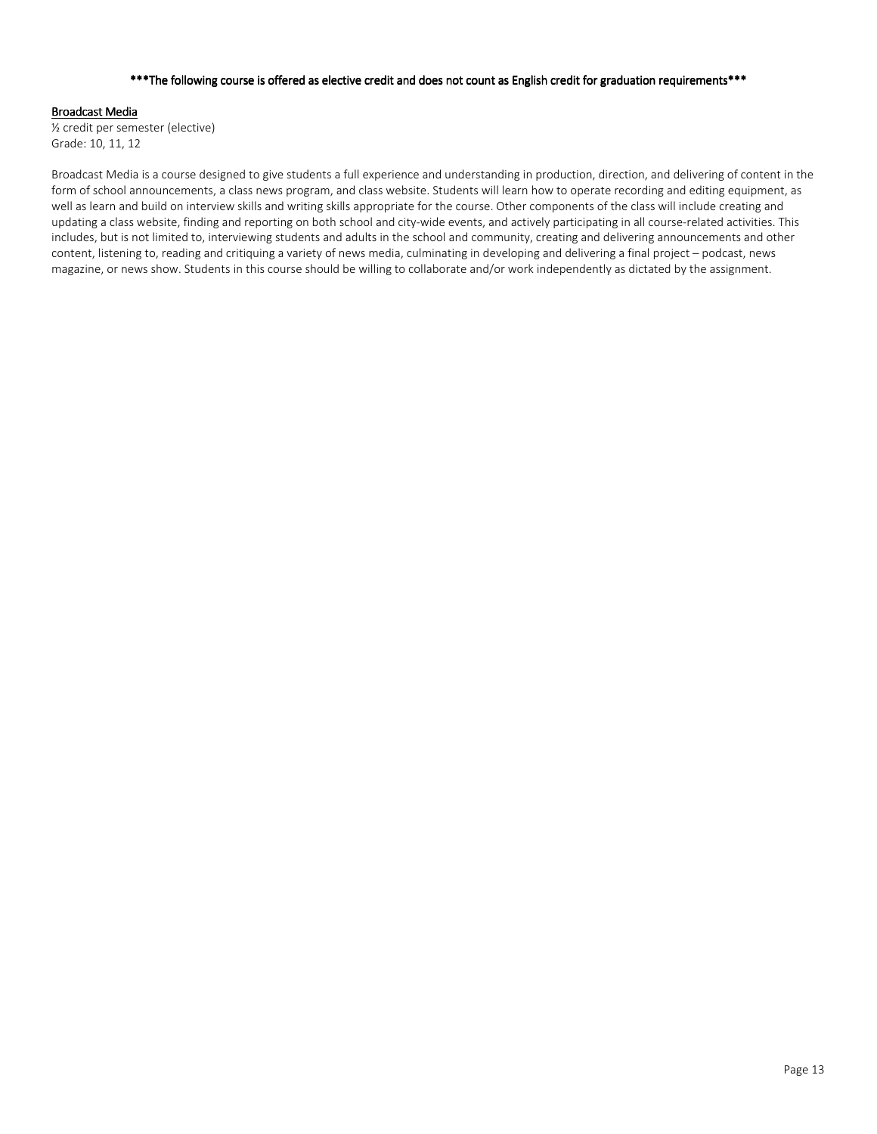### \*\*\* The following course is offered as elective credit and does not count as English credit for graduation requirements\*\*\*

#### **Broadcast Media**

½ credit per semester (elective) Grade: 10, 11, 12

Broadcast Media is a course designed to give students a full experience and understanding in production, direction, and delivering of content in the form of school announcements, a class news program, and class website. Students will learn how to operate recording and editing equipment, as well as learn and build on interview skills and writing skills appropriate for the course. Other components of the class will include creating and updating a class website, finding and reporting on both school and city-wide events, and actively participating in all course-related activities. This includes, but is not limited to, interviewing students and adults in the school and community, creating and delivering announcements and other content, listening to, reading and critiquing a variety of news media, culminating in developing and delivering a final project – podcast, news magazine, or news show. Students in this course should be willing to collaborate and/or work independently as dictated by the assignment.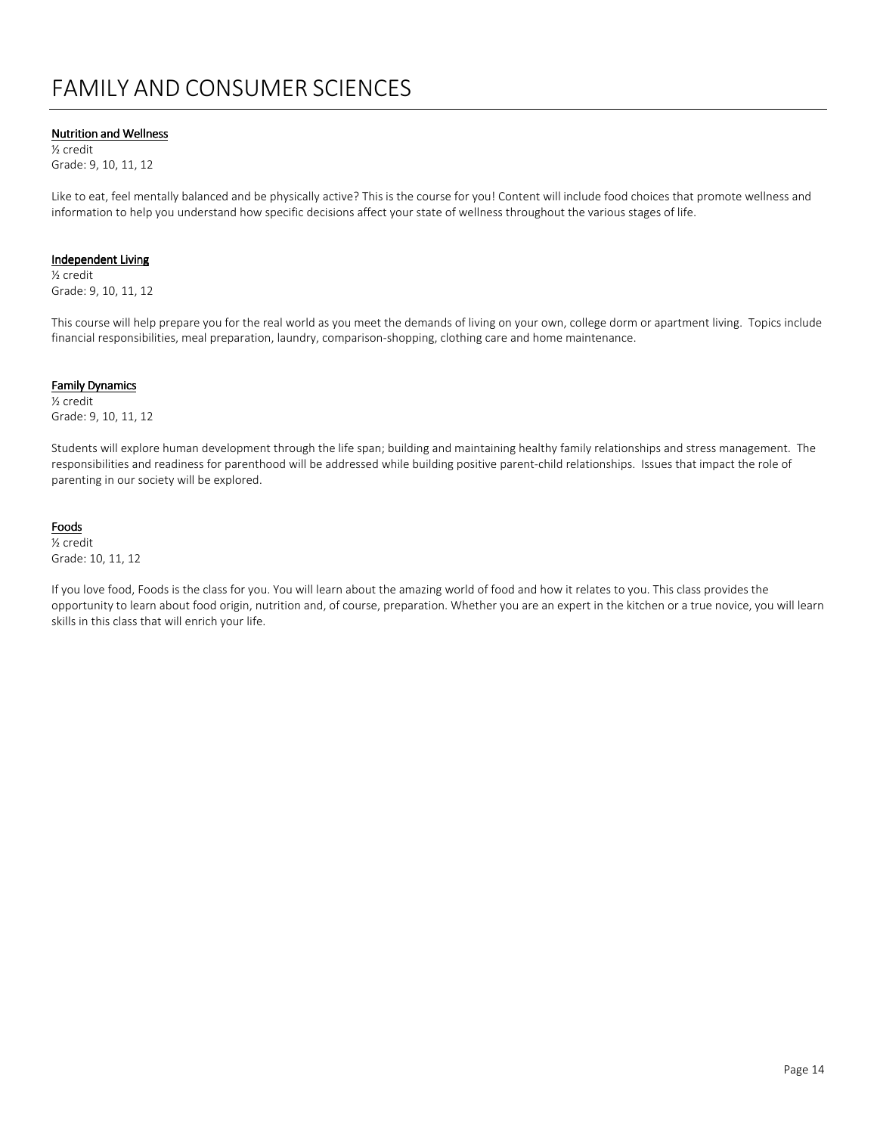# FAMILY AND CONSUMER SCIENCES

### **Nutrition and Wellness**

½ credit Grade: 9, 10, 11, 12

Like to eat, feel mentally balanced and be physically active? This is the course for you! Content will include food choices that promote wellness and information to help you understand how specific decisions affect your state of wellness throughout the various stages of life.

#### Independent Living

½ credit Grade: 9, 10, 11, 12

This course will help prepare you for the real world as you meet the demands of living on your own, college dorm or apartment living. Topics include financial responsibilities, meal preparation, laundry, comparison-shopping, clothing care and home maintenance.

#### Family Dynamics

½ credit Grade: 9, 10, 11, 12

Students will explore human development through the life span; building and maintaining healthy family relationships and stress management. The responsibilities and readiness for parenthood will be addressed while building positive parent-child relationships. Issues that impact the role of parenting in our society will be explored.

#### **Foods**

½ credit Grade: 10, 11, 12

If you love food, Foods is the class for you. You will learn about the amazing world of food and how it relates to you. This class provides the opportunity to learn about food origin, nutrition and, of course, preparation. Whether you are an expert in the kitchen or a true novice, you will learn skills in this class that will enrich your life.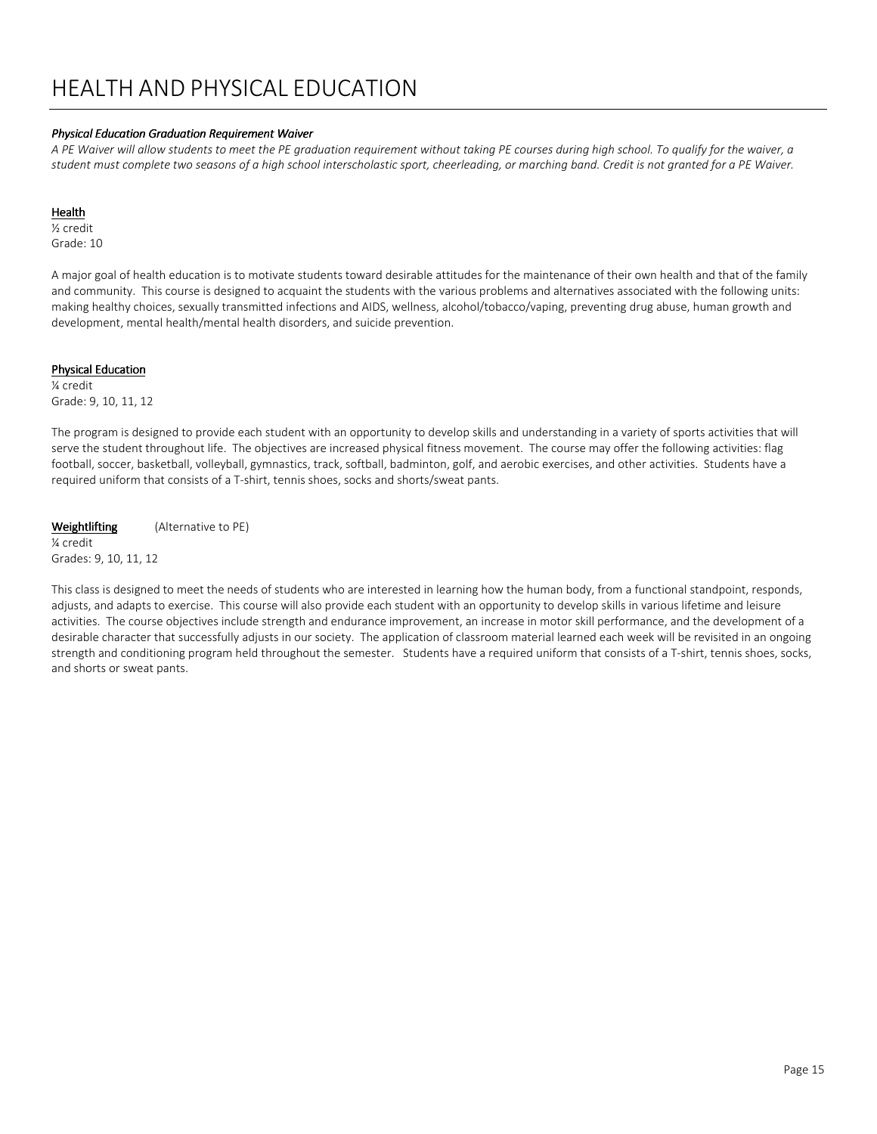# HEALTH AND PHYSICAL EDUCATION

#### Physical Education Graduation Requirement Waiver

A PE Waiver will allow students to meet the PE graduation requirement without taking PE courses during high school. To qualify for the waiver, a student must complete two seasons of a high school interscholastic sport, cheerleading, or marching band. Credit is not granted for a PE Waiver.

#### Health

½ credit

Grade: 10

A major goal of health education is to motivate students toward desirable attitudes for the maintenance of their own health and that of the family and community. This course is designed to acquaint the students with the various problems and alternatives associated with the following units: making healthy choices, sexually transmitted infections and AIDS, wellness, alcohol/tobacco/vaping, preventing drug abuse, human growth and development, mental health/mental health disorders, and suicide prevention.

#### **Physical Education**

¼ credit Grade: 9, 10, 11, 12

The program is designed to provide each student with an opportunity to develop skills and understanding in a variety of sports activities that will serve the student throughout life. The objectives are increased physical fitness movement. The course may offer the following activities: flag football, soccer, basketball, volleyball, gymnastics, track, softball, badminton, golf, and aerobic exercises, and other activities. Students have a required uniform that consists of a T-shirt, tennis shoes, socks and shorts/sweat pants.

Weightlifting (Alternative to PE)

¼ credit Grades: 9, 10, 11, 12

This class is designed to meet the needs of students who are interested in learning how the human body, from a functional standpoint, responds, adjusts, and adapts to exercise. This course will also provide each student with an opportunity to develop skills in various lifetime and leisure activities. The course objectives include strength and endurance improvement, an increase in motor skill performance, and the development of a desirable character that successfully adjusts in our society. The application of classroom material learned each week will be revisited in an ongoing strength and conditioning program held throughout the semester. Students have a required uniform that consists of a T-shirt, tennis shoes, socks, and shorts or sweat pants.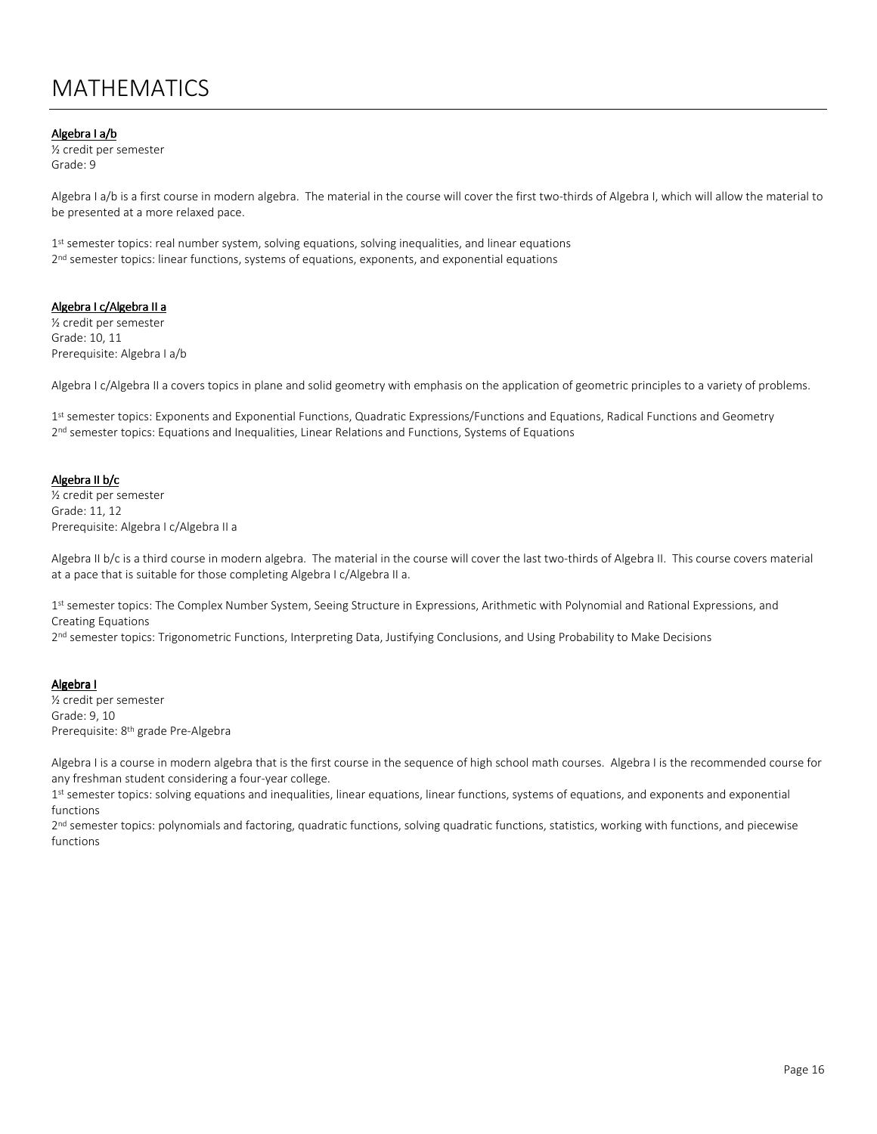# MATHEMATICS

#### Algebra I a/b

½ credit per semester Grade: 9

Algebra I a/b is a first course in modern algebra. The material in the course will cover the first two-thirds of Algebra I, which will allow the material to be presented at a more relaxed pace.

1<sup>st</sup> semester topics: real number system, solving equations, solving inequalities, and linear equations 2<sup>nd</sup> semester topics: linear functions, systems of equations, exponents, and exponential equations

#### Algebra I c/Algebra II a

½ credit per semester Grade: 10, 11 Prerequisite: Algebra I a/b

Algebra I c/Algebra II a covers topics in plane and solid geometry with emphasis on the application of geometric principles to a variety of problems.

1<sup>st</sup> semester topics: Exponents and Exponential Functions, Quadratic Expressions/Functions and Equations, Radical Functions and Geometry 2<sup>nd</sup> semester topics: Equations and Inequalities, Linear Relations and Functions, Systems of Equations

#### Algebra II b/c

½ credit per semester Grade: 11, 12 Prerequisite: Algebra I c/Algebra II a

Algebra II b/c is a third course in modern algebra. The material in the course will cover the last two-thirds of Algebra II. This course covers material at a pace that is suitable for those completing Algebra I c/Algebra II a.

1<sup>st</sup> semester topics: The Complex Number System, Seeing Structure in Expressions, Arithmetic with Polynomial and Rational Expressions, and Creating Equations

2<sup>nd</sup> semester topics: Trigonometric Functions, Interpreting Data, Justifying Conclusions, and Using Probability to Make Decisions

#### Algebra I

½ credit per semester Grade: 9, 10 Prerequisite: 8th grade Pre-Algebra

Algebra I is a course in modern algebra that is the first course in the sequence of high school math courses. Algebra I is the recommended course for any freshman student considering a four-year college.

1<sup>st</sup> semester topics: solving equations and inequalities, linear equations, linear functions, systems of equations, and exponents and exponential functions

2<sup>nd</sup> semester topics: polynomials and factoring, quadratic functions, solving quadratic functions, statistics, working with functions, and piecewise functions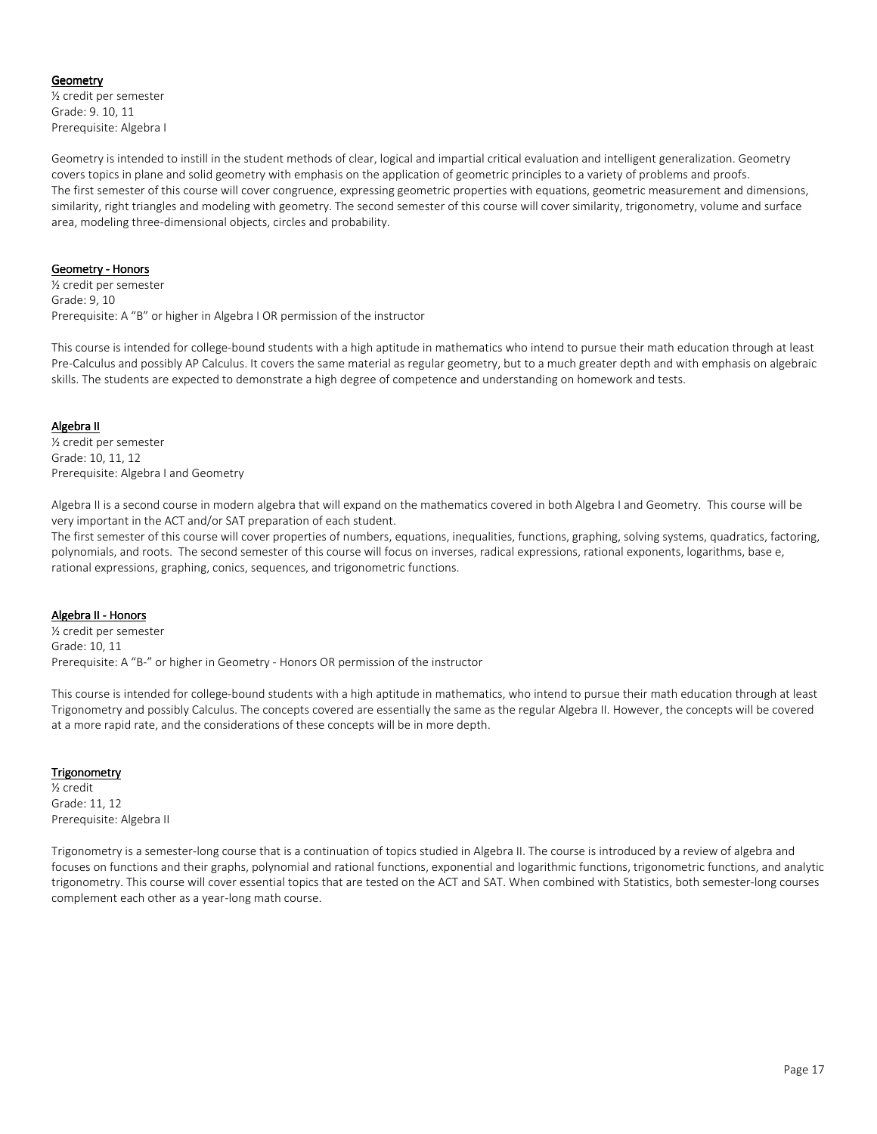### **Geometry**

½ credit per semester Grade: 9. 10, 11 Prerequisite: Algebra I

Geometry is intended to instill in the student methods of clear, logical and impartial critical evaluation and intelligent generalization. Geometry covers topics in plane and solid geometry with emphasis on the application of geometric principles to a variety of problems and proofs. The first semester of this course will cover congruence, expressing geometric properties with equations, geometric measurement and dimensions, similarity, right triangles and modeling with geometry. The second semester of this course will cover similarity, trigonometry, volume and surface area, modeling three-dimensional objects, circles and probability.

### Geometry - Honors

½ credit per semester Grade: 9, 10 Prerequisite: A "B" or higher in Algebra I OR permission of the instructor

This course is intended for college-bound students with a high aptitude in mathematics who intend to pursue their math education through at least Pre-Calculus and possibly AP Calculus. It covers the same material as regular geometry, but to a much greater depth and with emphasis on algebraic skills. The students are expected to demonstrate a high degree of competence and understanding on homework and tests.

### Algebra II

½ credit per semester Grade: 10, 11, 12 Prerequisite: Algebra I and Geometry

Algebra II is a second course in modern algebra that will expand on the mathematics covered in both Algebra I and Geometry. This course will be very important in the ACT and/or SAT preparation of each student.

The first semester of this course will cover properties of numbers, equations, inequalities, functions, graphing, solving systems, quadratics, factoring, polynomials, and roots. The second semester of this course will focus on inverses, radical expressions, rational exponents, logarithms, base e, rational expressions, graphing, conics, sequences, and trigonometric functions.

#### Algebra II - Honors

½ credit per semester Grade: 10, 11 Prerequisite: A "B-" or higher in Geometry - Honors OR permission of the instructor

This course is intended for college-bound students with a high aptitude in mathematics, who intend to pursue their math education through at least Trigonometry and possibly Calculus. The concepts covered are essentially the same as the regular Algebra II. However, the concepts will be covered at a more rapid rate, and the considerations of these concepts will be in more depth.

#### **Trigonometry**

½ credit Grade: 11, 12 Prerequisite: Algebra II

Trigonometry is a semester-long course that is a continuation of topics studied in Algebra II. The course is introduced by a review of algebra and focuses on functions and their graphs, polynomial and rational functions, exponential and logarithmic functions, trigonometric functions, and analytic trigonometry. This course will cover essential topics that are tested on the ACT and SAT. When combined with Statistics, both semester-long courses complement each other as a year-long math course.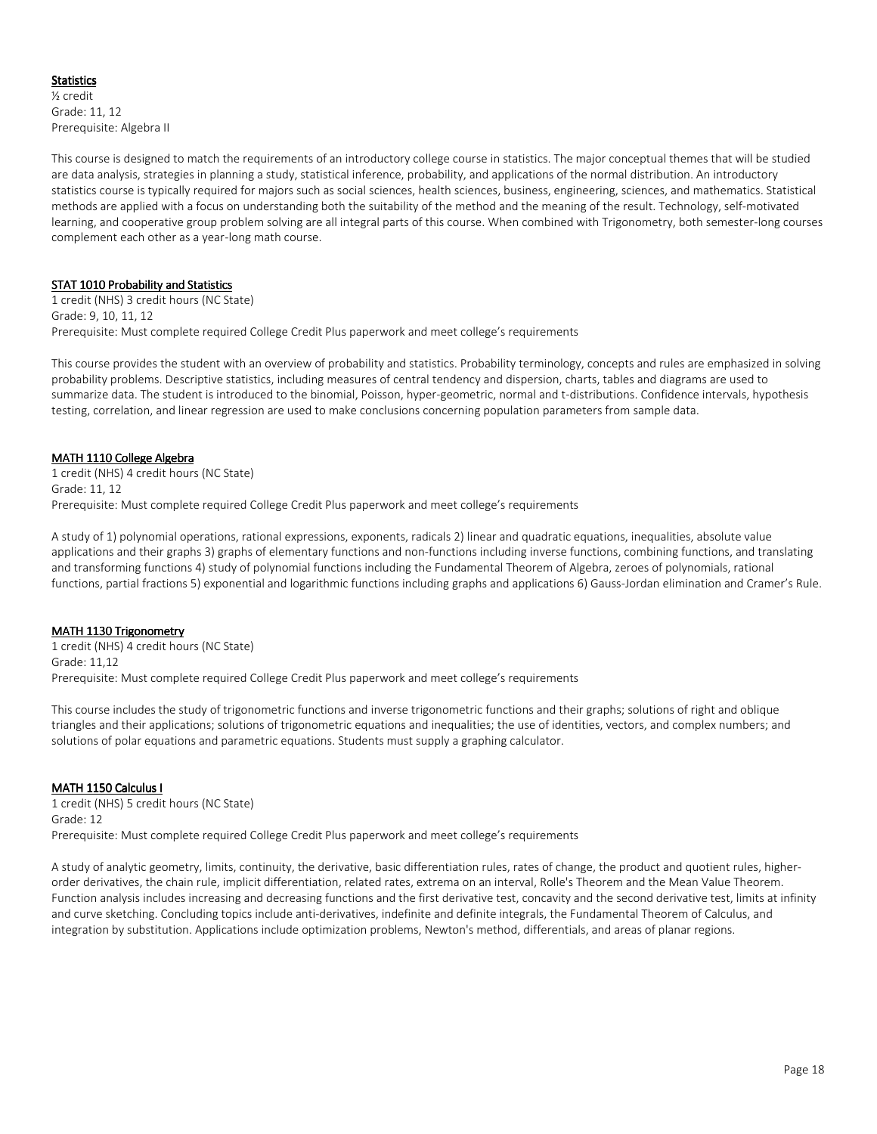# Statistics

½ credit Grade: 11, 12 Prerequisite: Algebra II

This course is designed to match the requirements of an introductory college course in statistics. The major conceptual themes that will be studied are data analysis, strategies in planning a study, statistical inference, probability, and applications of the normal distribution. An introductory statistics course is typically required for majors such as social sciences, health sciences, business, engineering, sciences, and mathematics. Statistical methods are applied with a focus on understanding both the suitability of the method and the meaning of the result. Technology, self-motivated learning, and cooperative group problem solving are all integral parts of this course. When combined with Trigonometry, both semester-long courses complement each other as a year-long math course.

# STAT 1010 Probability and Statistics

1 credit (NHS) 3 credit hours (NC State) Grade: 9, 10, 11, 12 Prerequisite: Must complete required College Credit Plus paperwork and meet college's requirements

This course provides the student with an overview of probability and statistics. Probability terminology, concepts and rules are emphasized in solving probability problems. Descriptive statistics, including measures of central tendency and dispersion, charts, tables and diagrams are used to summarize data. The student is introduced to the binomial, Poisson, hyper-geometric, normal and t-distributions. Confidence intervals, hypothesis testing, correlation, and linear regression are used to make conclusions concerning population parameters from sample data.

### MATH 1110 College Algebra

1 credit (NHS) 4 credit hours (NC State) Grade: 11, 12 Prerequisite: Must complete required College Credit Plus paperwork and meet college's requirements

A study of 1) polynomial operations, rational expressions, exponents, radicals 2) linear and quadratic equations, inequalities, absolute value applications and their graphs 3) graphs of elementary functions and non-functions including inverse functions, combining functions, and translating and transforming functions 4) study of polynomial functions including the Fundamental Theorem of Algebra, zeroes of polynomials, rational functions, partial fractions 5) exponential and logarithmic functions including graphs and applications 6) Gauss-Jordan elimination and Cramer's Rule.

#### MATH 1130 Trigonometry

1 credit (NHS) 4 credit hours (NC State) Grade: 11,12 Prerequisite: Must complete required College Credit Plus paperwork and meet college's requirements

This course includes the study of trigonometric functions and inverse trigonometric functions and their graphs; solutions of right and oblique triangles and their applications; solutions of trigonometric equations and inequalities; the use of identities, vectors, and complex numbers; and solutions of polar equations and parametric equations. Students must supply a graphing calculator.

#### MATH 1150 Calculus I

1 credit (NHS) 5 credit hours (NC State) Grade: 12 Prerequisite: Must complete required College Credit Plus paperwork and meet college's requirements

A study of analytic geometry, limits, continuity, the derivative, basic differentiation rules, rates of change, the product and quotient rules, higherorder derivatives, the chain rule, implicit differentiation, related rates, extrema on an interval, Rolle's Theorem and the Mean Value Theorem. Function analysis includes increasing and decreasing functions and the first derivative test, concavity and the second derivative test, limits at infinity and curve sketching. Concluding topics include anti-derivatives, indefinite and definite integrals, the Fundamental Theorem of Calculus, and integration by substitution. Applications include optimization problems, Newton's method, differentials, and areas of planar regions.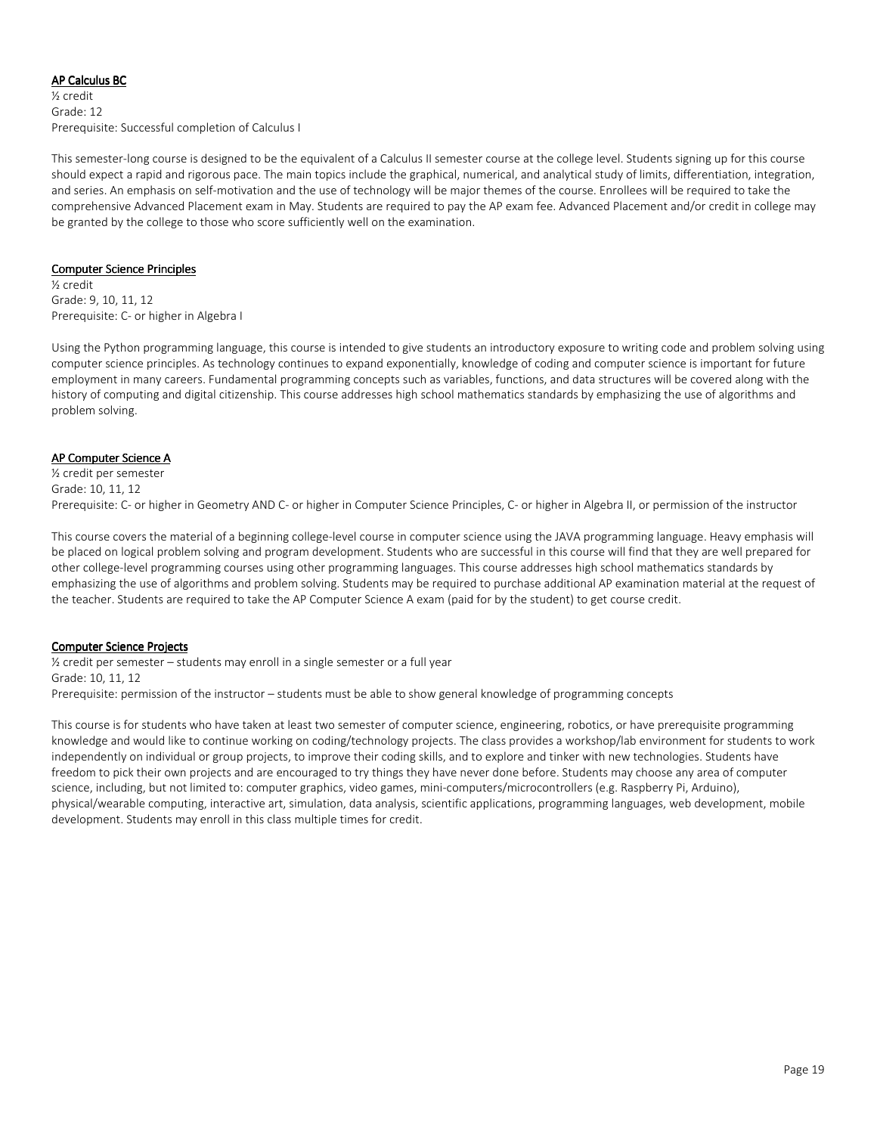### AP Calculus BC

½ credit Grade: 12 Prerequisite: Successful completion of Calculus I

This semester-long course is designed to be the equivalent of a Calculus II semester course at the college level. Students signing up for this course should expect a rapid and rigorous pace. The main topics include the graphical, numerical, and analytical study of limits, differentiation, integration, and series. An emphasis on self-motivation and the use of technology will be major themes of the course. Enrollees will be required to take the comprehensive Advanced Placement exam in May. Students are required to pay the AP exam fee. Advanced Placement and/or credit in college may be granted by the college to those who score sufficiently well on the examination.

#### Computer Science Principles

½ credit Grade: 9, 10, 11, 12 Prerequisite: C- or higher in Algebra I

Using the Python programming language, this course is intended to give students an introductory exposure to writing code and problem solving using computer science principles. As technology continues to expand exponentially, knowledge of coding and computer science is important for future employment in many careers. Fundamental programming concepts such as variables, functions, and data structures will be covered along with the history of computing and digital citizenship. This course addresses high school mathematics standards by emphasizing the use of algorithms and problem solving.

### AP Computer Science A

½ credit per semester Grade: 10, 11, 12 Prerequisite: C- or higher in Geometry AND C- or higher in Computer Science Principles, C- or higher in Algebra II, or permission of the instructor

This course covers the material of a beginning college-level course in computer science using the JAVA programming language. Heavy emphasis will be placed on logical problem solving and program development. Students who are successful in this course will find that they are well prepared for other college-level programming courses using other programming languages. This course addresses high school mathematics standards by emphasizing the use of algorithms and problem solving. Students may be required to purchase additional AP examination material at the request of the teacher. Students are required to take the AP Computer Science A exam (paid for by the student) to get course credit.

# **Computer Science Projects**

½ credit per semester – students may enroll in a single semester or a full year Grade: 10, 11, 12 Prerequisite: permission of the instructor – students must be able to show general knowledge of programming concepts

This course is for students who have taken at least two semester of computer science, engineering, robotics, or have prerequisite programming knowledge and would like to continue working on coding/technology projects. The class provides a workshop/lab environment for students to work independently on individual or group projects, to improve their coding skills, and to explore and tinker with new technologies. Students have freedom to pick their own projects and are encouraged to try things they have never done before. Students may choose any area of computer science, including, but not limited to: computer graphics, video games, mini-computers/microcontrollers (e.g. Raspberry Pi, Arduino), physical/wearable computing, interactive art, simulation, data analysis, scientific applications, programming languages, web development, mobile development. Students may enroll in this class multiple times for credit.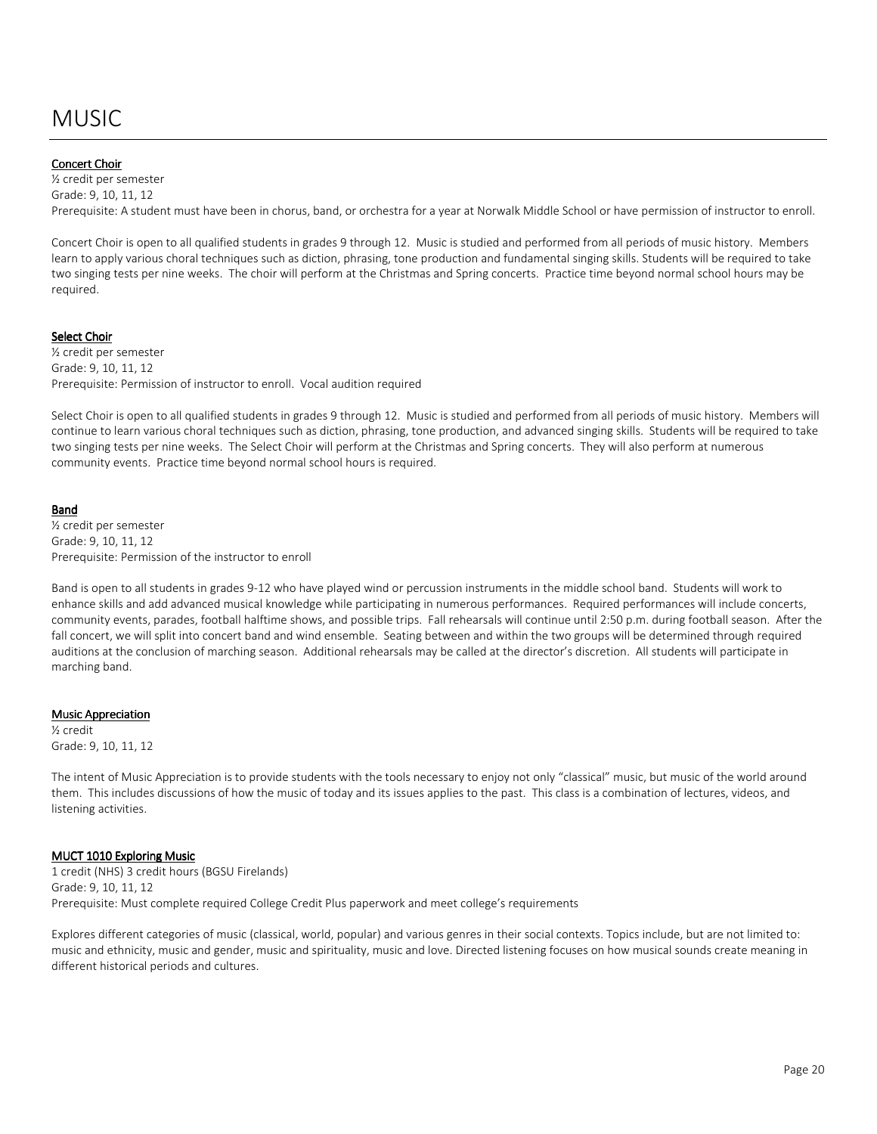# MUSIC

#### Concert Choir

½ credit per semester Grade: 9, 10, 11, 12 Prerequisite: A student must have been in chorus, band, or orchestra for a year at Norwalk Middle School or have permission of instructor to enroll.

Concert Choir is open to all qualified students in grades 9 through 12. Music is studied and performed from all periods of music history. Members learn to apply various choral techniques such as diction, phrasing, tone production and fundamental singing skills. Students will be required to take two singing tests per nine weeks. The choir will perform at the Christmas and Spring concerts. Practice time beyond normal school hours may be required.

#### Select Choir

½ credit per semester Grade: 9, 10, 11, 12 Prerequisite: Permission of instructor to enroll. Vocal audition required

Select Choir is open to all qualified students in grades 9 through 12. Music is studied and performed from all periods of music history. Members will continue to learn various choral techniques such as diction, phrasing, tone production, and advanced singing skills. Students will be required to take two singing tests per nine weeks. The Select Choir will perform at the Christmas and Spring concerts. They will also perform at numerous community events. Practice time beyond normal school hours is required.

#### Band

½ credit per semester Grade: 9, 10, 11, 12 Prerequisite: Permission of the instructor to enroll

Band is open to all students in grades 9-12 who have played wind or percussion instruments in the middle school band. Students will work to enhance skills and add advanced musical knowledge while participating in numerous performances. Required performances will include concerts, community events, parades, football halftime shows, and possible trips. Fall rehearsals will continue until 2:50 p.m. during football season. After the fall concert, we will split into concert band and wind ensemble. Seating between and within the two groups will be determined through required auditions at the conclusion of marching season. Additional rehearsals may be called at the director's discretion. All students will participate in marching band.

#### **Music Appreciation**

½ credit Grade: 9, 10, 11, 12

The intent of Music Appreciation is to provide students with the tools necessary to enjoy not only "classical" music, but music of the world around them. This includes discussions of how the music of today and its issues applies to the past. This class is a combination of lectures, videos, and listening activities.

#### MUCT 1010 Exploring Music

1 credit (NHS) 3 credit hours (BGSU Firelands) Grade: 9, 10, 11, 12 Prerequisite: Must complete required College Credit Plus paperwork and meet college's requirements

Explores different categories of music (classical, world, popular) and various genres in their social contexts. Topics include, but are not limited to: music and ethnicity, music and gender, music and spirituality, music and love. Directed listening focuses on how musical sounds create meaning in different historical periods and cultures.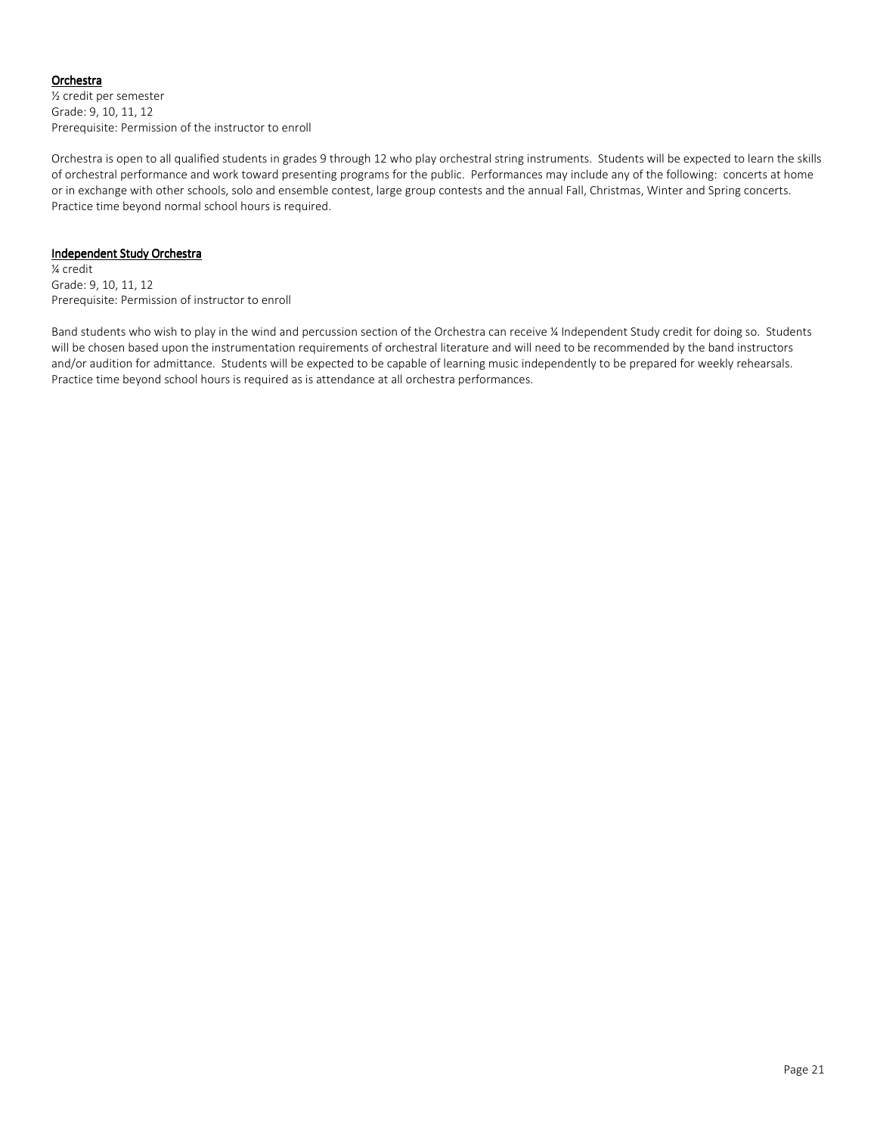# Orchestra

½ credit per semester Grade: 9, 10, 11, 12 Prerequisite: Permission of the instructor to enroll

Orchestra is open to all qualified students in grades 9 through 12 who play orchestral string instruments. Students will be expected to learn the skills of orchestral performance and work toward presenting programs for the public. Performances may include any of the following: concerts at home or in exchange with other schools, solo and ensemble contest, large group contests and the annual Fall, Christmas, Winter and Spring concerts. Practice time beyond normal school hours is required.

### Independent Study Orchestra

¼ credit Grade: 9, 10, 11, 12 Prerequisite: Permission of instructor to enroll

Band students who wish to play in the wind and percussion section of the Orchestra can receive ¼ Independent Study credit for doing so. Students will be chosen based upon the instrumentation requirements of orchestral literature and will need to be recommended by the band instructors and/or audition for admittance. Students will be expected to be capable of learning music independently to be prepared for weekly rehearsals. Practice time beyond school hours is required as is attendance at all orchestra performances.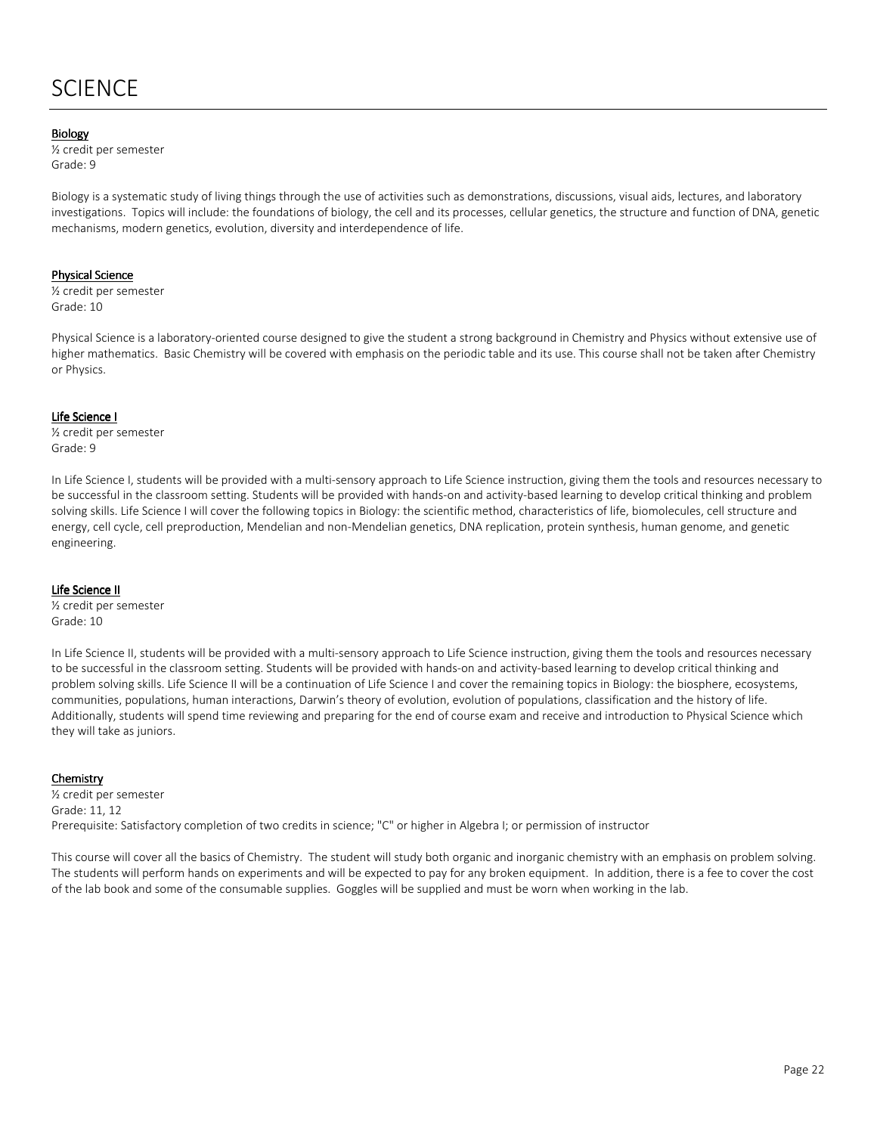# **SCIENCE**

#### **Biology**

½ credit per semester Grade: 9

Biology is a systematic study of living things through the use of activities such as demonstrations, discussions, visual aids, lectures, and laboratory investigations. Topics will include: the foundations of biology, the cell and its processes, cellular genetics, the structure and function of DNA, genetic mechanisms, modern genetics, evolution, diversity and interdependence of life.

#### Physical Science

½ credit per semester Grade: 10

Physical Science is a laboratory-oriented course designed to give the student a strong background in Chemistry and Physics without extensive use of higher mathematics. Basic Chemistry will be covered with emphasis on the periodic table and its use. This course shall not be taken after Chemistry or Physics.

#### Life Science I

½ credit per semester Grade: 9

In Life Science I, students will be provided with a multi-sensory approach to Life Science instruction, giving them the tools and resources necessary to be successful in the classroom setting. Students will be provided with hands-on and activity-based learning to develop critical thinking and problem solving skills. Life Science I will cover the following topics in Biology: the scientific method, characteristics of life, biomolecules, cell structure and energy, cell cycle, cell preproduction, Mendelian and non-Mendelian genetics, DNA replication, protein synthesis, human genome, and genetic engineering.

#### Life Science II

½ credit per semester Grade: 10

In Life Science II, students will be provided with a multi-sensory approach to Life Science instruction, giving them the tools and resources necessary to be successful in the classroom setting. Students will be provided with hands-on and activity-based learning to develop critical thinking and problem solving skills. Life Science II will be a continuation of Life Science I and cover the remaining topics in Biology: the biosphere, ecosystems, communities, populations, human interactions, Darwin's theory of evolution, evolution of populations, classification and the history of life. Additionally, students will spend time reviewing and preparing for the end of course exam and receive and introduction to Physical Science which they will take as juniors.

#### Chemistry

½ credit per semester Grade: 11, 12 Prerequisite: Satisfactory completion of two credits in science; "C" or higher in Algebra I; or permission of instructor

This course will cover all the basics of Chemistry. The student will study both organic and inorganic chemistry with an emphasis on problem solving. The students will perform hands on experiments and will be expected to pay for any broken equipment. In addition, there is a fee to cover the cost of the lab book and some of the consumable supplies. Goggles will be supplied and must be worn when working in the lab.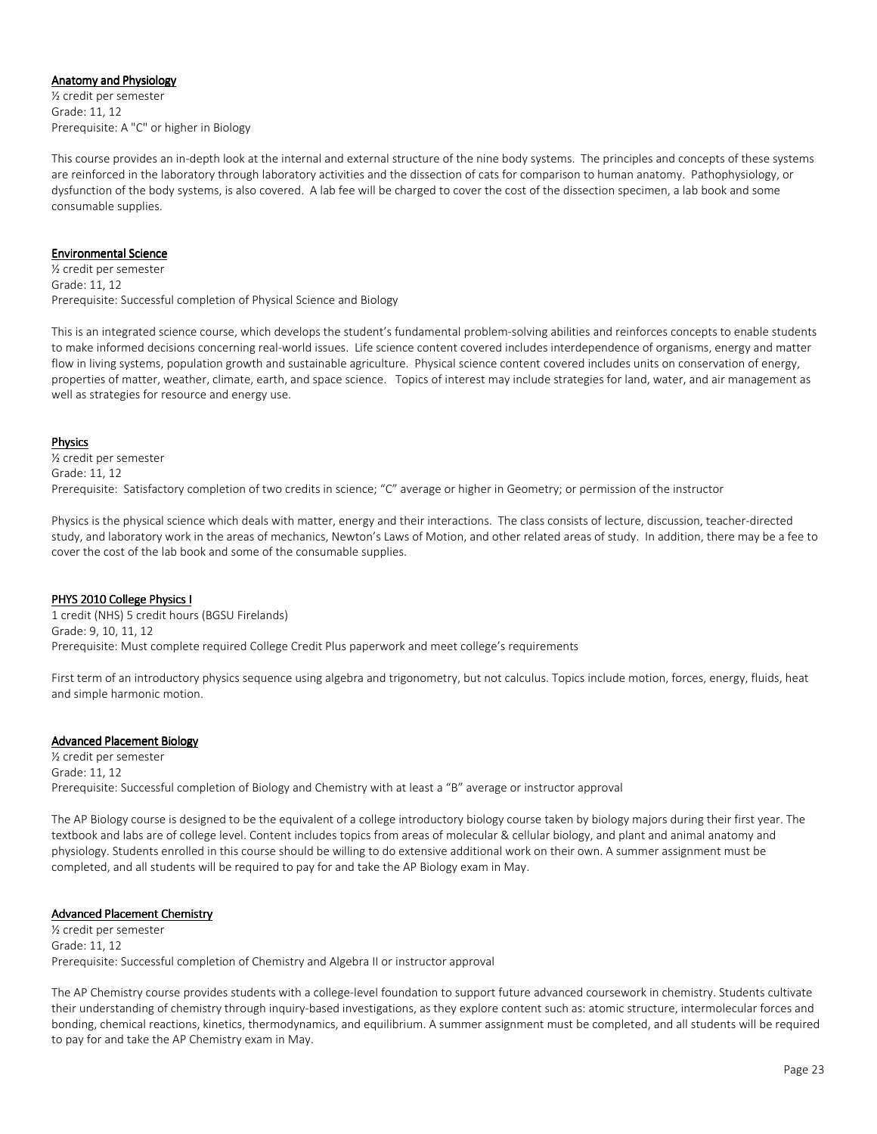#### Anatomy and Physiology

½ credit per semester Grade: 11, 12 Prerequisite: A "C" or higher in Biology

This course provides an in-depth look at the internal and external structure of the nine body systems. The principles and concepts of these systems are reinforced in the laboratory through laboratory activities and the dissection of cats for comparison to human anatomy. Pathophysiology, or dysfunction of the body systems, is also covered. A lab fee will be charged to cover the cost of the dissection specimen, a lab book and some consumable supplies.

#### Environmental Science

½ credit per semester Grade: 11, 12 Prerequisite: Successful completion of Physical Science and Biology

This is an integrated science course, which develops the student's fundamental problem-solving abilities and reinforces concepts to enable students to make informed decisions concerning real-world issues. Life science content covered includes interdependence of organisms, energy and matter flow in living systems, population growth and sustainable agriculture. Physical science content covered includes units on conservation of energy, properties of matter, weather, climate, earth, and space science. Topics of interest may include strategies for land, water, and air management as well as strategies for resource and energy use.

#### Physics

½ credit per semester Grade: 11, 12 Prerequisite: Satisfactory completion of two credits in science; "C" average or higher in Geometry; or permission of the instructor

Physics is the physical science which deals with matter, energy and their interactions. The class consists of lecture, discussion, teacher-directed study, and laboratory work in the areas of mechanics, Newton's Laws of Motion, and other related areas of study. In addition, there may be a fee to cover the cost of the lab book and some of the consumable supplies.

#### PHYS 2010 College Physics I

1 credit (NHS) 5 credit hours (BGSU Firelands) Grade: 9, 10, 11, 12 Prerequisite: Must complete required College Credit Plus paperwork and meet college's requirements

First term of an introductory physics sequence using algebra and trigonometry, but not calculus. Topics include motion, forces, energy, fluids, heat and simple harmonic motion.

# Advanced Placement Biology

½ credit per semester Grade: 11, 12 Prerequisite: Successful completion of Biology and Chemistry with at least a "B" average or instructor approval

The AP Biology course is designed to be the equivalent of a college introductory biology course taken by biology majors during their first year. The textbook and labs are of college level. Content includes topics from areas of molecular & cellular biology, and plant and animal anatomy and physiology. Students enrolled in this course should be willing to do extensive additional work on their own. A summer assignment must be completed, and all students will be required to pay for and take the AP Biology exam in May.

#### **Advanced Placement Chemistry**

½ credit per semester Grade: 11, 12 Prerequisite: Successful completion of Chemistry and Algebra II or instructor approval

The AP Chemistry course provides students with a college-level foundation to support future advanced coursework in chemistry. Students cultivate their understanding of chemistry through inquiry-based investigations, as they explore content such as: atomic structure, intermolecular forces and bonding, chemical reactions, kinetics, thermodynamics, and equilibrium. A summer assignment must be completed, and all students will be required to pay for and take the AP Chemistry exam in May.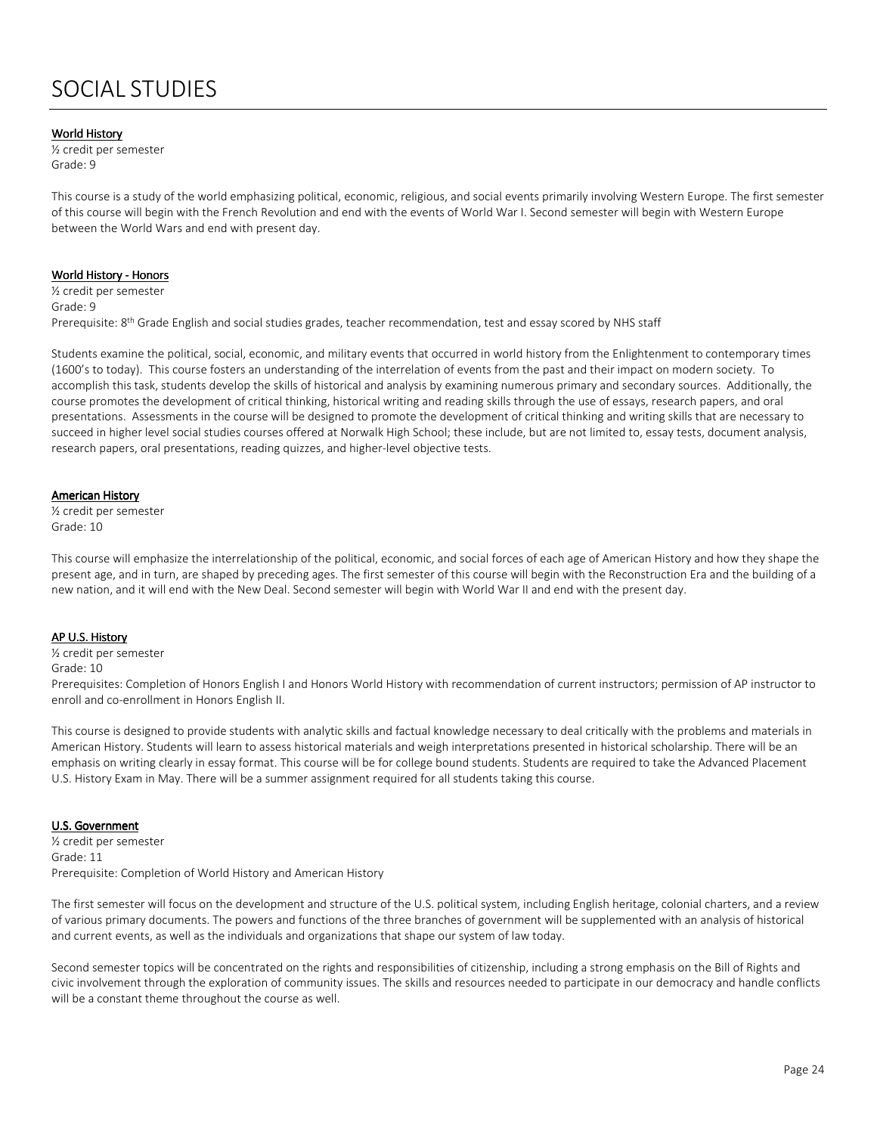#### **World History**

½ credit per semester Grade: 9

This course is a study of the world emphasizing political, economic, religious, and social events primarily involving Western Europe. The first semester of this course will begin with the French Revolution and end with the events of World War I. Second semester will begin with Western Europe between the World Wars and end with present day.

#### World History - Honors

½ credit per semester Grade: 9 Prerequisite: 8<sup>th</sup> Grade English and social studies grades, teacher recommendation, test and essay scored by NHS staff

Students examine the political, social, economic, and military events that occurred in world history from the Enlightenment to contemporary times (1600's to today). This course fosters an understanding of the interrelation of events from the past and their impact on modern society. To accomplish this task, students develop the skills of historical and analysis by examining numerous primary and secondary sources. Additionally, the course promotes the development of critical thinking, historical writing and reading skills through the use of essays, research papers, and oral presentations. Assessments in the course will be designed to promote the development of critical thinking and writing skills that are necessary to succeed in higher level social studies courses offered at Norwalk High School; these include, but are not limited to, essay tests, document analysis, research papers, oral presentations, reading quizzes, and higher-level objective tests.

#### American History

½ credit per semester Grade: 10

This course will emphasize the interrelationship of the political, economic, and social forces of each age of American History and how they shape the present age, and in turn, are shaped by preceding ages. The first semester of this course will begin with the Reconstruction Era and the building of a new nation, and it will end with the New Deal. Second semester will begin with World War II and end with the present day.

#### **AP U.S. History**

½ credit per semester Grade: 10 Prerequisites: Completion of Honors English I and Honors World History with recommendation of current instructors; permission of AP instructor to enroll and co-enrollment in Honors English II.

This course is designed to provide students with analytic skills and factual knowledge necessary to deal critically with the problems and materials in American History. Students will learn to assess historical materials and weigh interpretations presented in historical scholarship. There will be an emphasis on writing clearly in essay format. This course will be for college bound students. Students are required to take the Advanced Placement U.S. History Exam in May. There will be a summer assignment required for all students taking this course.

#### U.S. Government

½ credit per semester Grade: 11 Prerequisite: Completion of World History and American History

The first semester will focus on the development and structure of the U.S. political system, including English heritage, colonial charters, and a review of various primary documents. The powers and functions of the three branches of government will be supplemented with an analysis of historical and current events, as well as the individuals and organizations that shape our system of law today.

Second semester topics will be concentrated on the rights and responsibilities of citizenship, including a strong emphasis on the Bill of Rights and civic involvement through the exploration of community issues. The skills and resources needed to participate in our democracy and handle conflicts will be a constant theme throughout the course as well.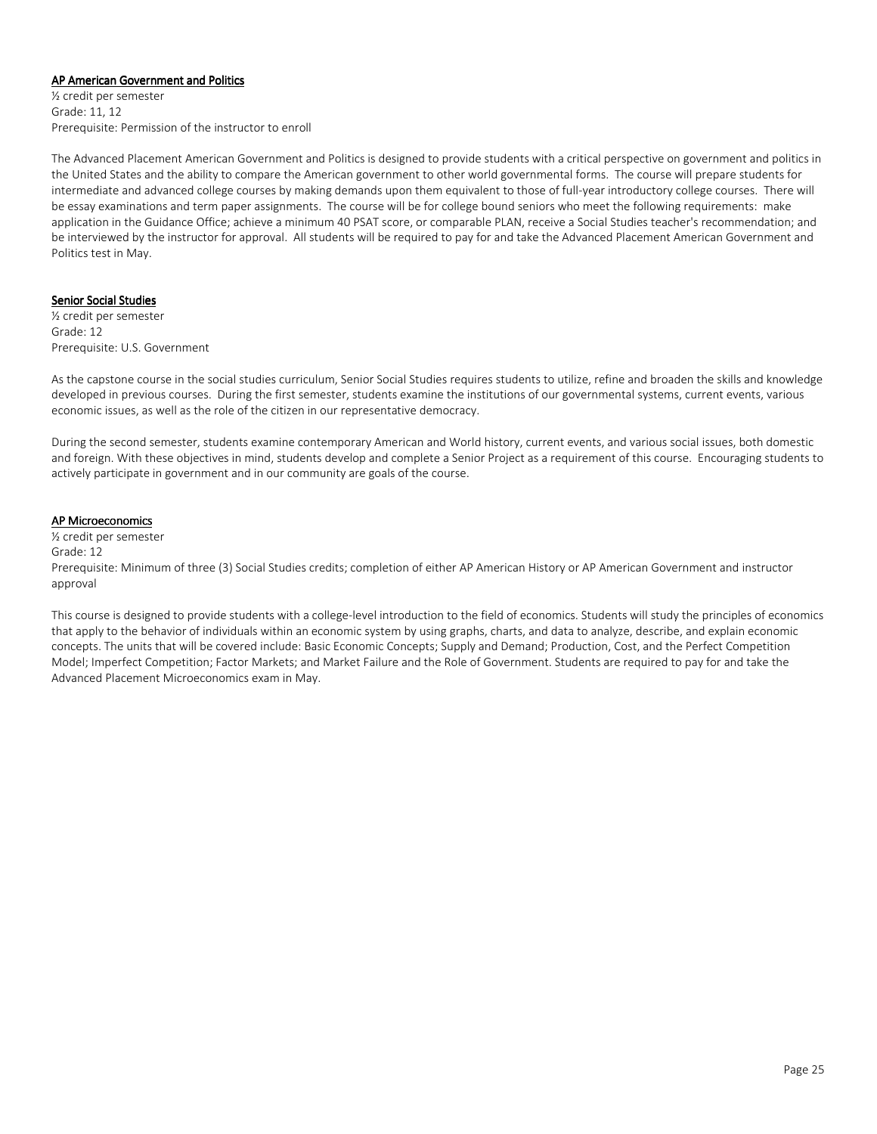#### AP American Government and Politics

½ credit per semester Grade: 11, 12 Prerequisite: Permission of the instructor to enroll

The Advanced Placement American Government and Politics is designed to provide students with a critical perspective on government and politics in the United States and the ability to compare the American government to other world governmental forms. The course will prepare students for intermediate and advanced college courses by making demands upon them equivalent to those of full-year introductory college courses. There will be essay examinations and term paper assignments. The course will be for college bound seniors who meet the following requirements: make application in the Guidance Office; achieve a minimum 40 PSAT score, or comparable PLAN, receive a Social Studies teacher's recommendation; and be interviewed by the instructor for approval. All students will be required to pay for and take the Advanced Placement American Government and Politics test in May.

#### Senior Social Studies

½ credit per semester Grade: 12 Prerequisite: U.S. Government

As the capstone course in the social studies curriculum, Senior Social Studies requires students to utilize, refine and broaden the skills and knowledge developed in previous courses. During the first semester, students examine the institutions of our governmental systems, current events, various economic issues, as well as the role of the citizen in our representative democracy.

During the second semester, students examine contemporary American and World history, current events, and various social issues, both domestic and foreign. With these objectives in mind, students develop and complete a Senior Project as a requirement of this course. Encouraging students to actively participate in government and in our community are goals of the course.

#### **AP Microeconomics**

½ credit per semester Grade: 12 Prerequisite: Minimum of three (3) Social Studies credits; completion of either AP American History or AP American Government and instructor approval

This course is designed to provide students with a college-level introduction to the field of economics. Students will study the principles of economics that apply to the behavior of individuals within an economic system by using graphs, charts, and data to analyze, describe, and explain economic concepts. The units that will be covered include: Basic Economic Concepts; Supply and Demand; Production, Cost, and the Perfect Competition Model; Imperfect Competition; Factor Markets; and Market Failure and the Role of Government. Students are required to pay for and take the Advanced Placement Microeconomics exam in May.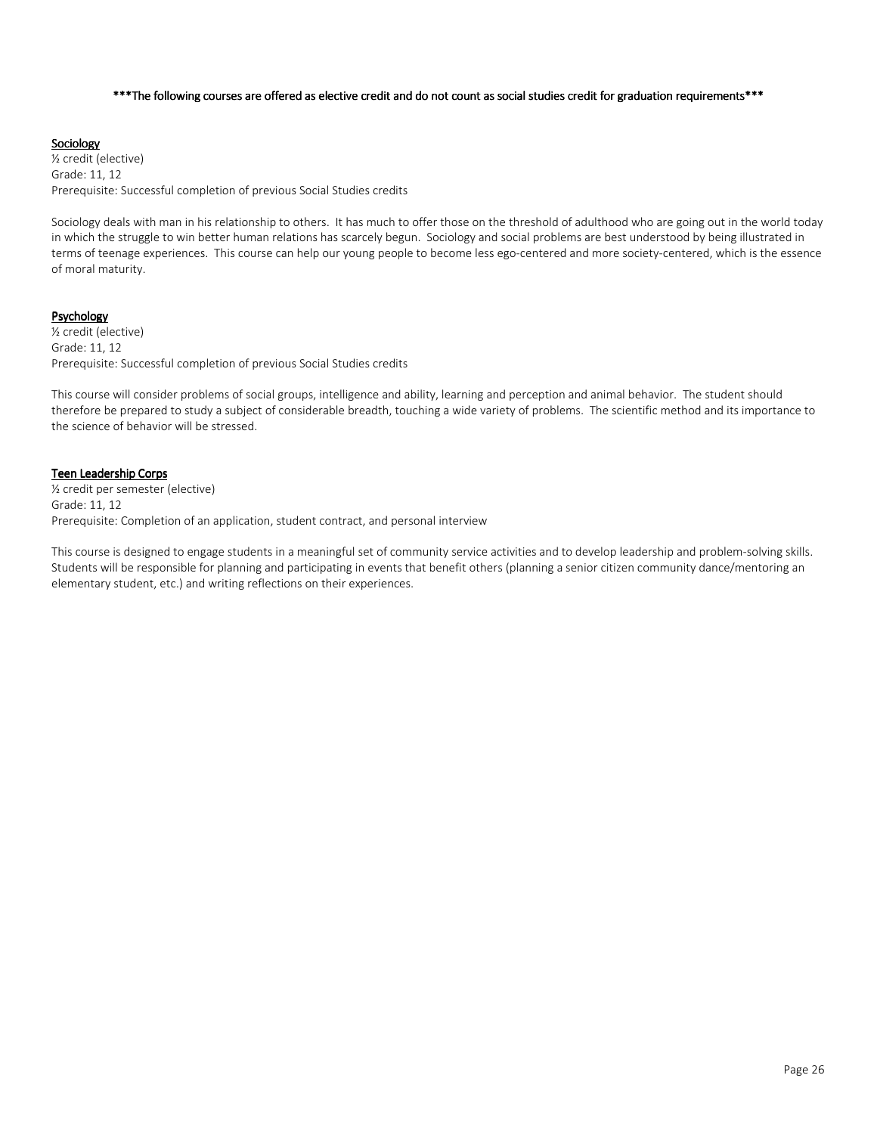#### \*\*\*The following courses are offered as elective credit and do not count as social studies credit for graduation requirements\*\*\*

#### **Sociology**

½ credit (elective) Grade: 11, 12 Prerequisite: Successful completion of previous Social Studies credits

Sociology deals with man in his relationship to others. It has much to offer those on the threshold of adulthood who are going out in the world today in which the struggle to win better human relations has scarcely begun. Sociology and social problems are best understood by being illustrated in terms of teenage experiences. This course can help our young people to become less ego-centered and more society-centered, which is the essence of moral maturity.

#### Psychology

½ credit (elective) Grade: 11, 12 Prerequisite: Successful completion of previous Social Studies credits

This course will consider problems of social groups, intelligence and ability, learning and perception and animal behavior. The student should therefore be prepared to study a subject of considerable breadth, touching a wide variety of problems. The scientific method and its importance to the science of behavior will be stressed.

#### Teen Leadership Corps

½ credit per semester (elective) Grade: 11, 12 Prerequisite: Completion of an application, student contract, and personal interview

This course is designed to engage students in a meaningful set of community service activities and to develop leadership and problem-solving skills. Students will be responsible for planning and participating in events that benefit others (planning a senior citizen community dance/mentoring an elementary student, etc.) and writing reflections on their experiences.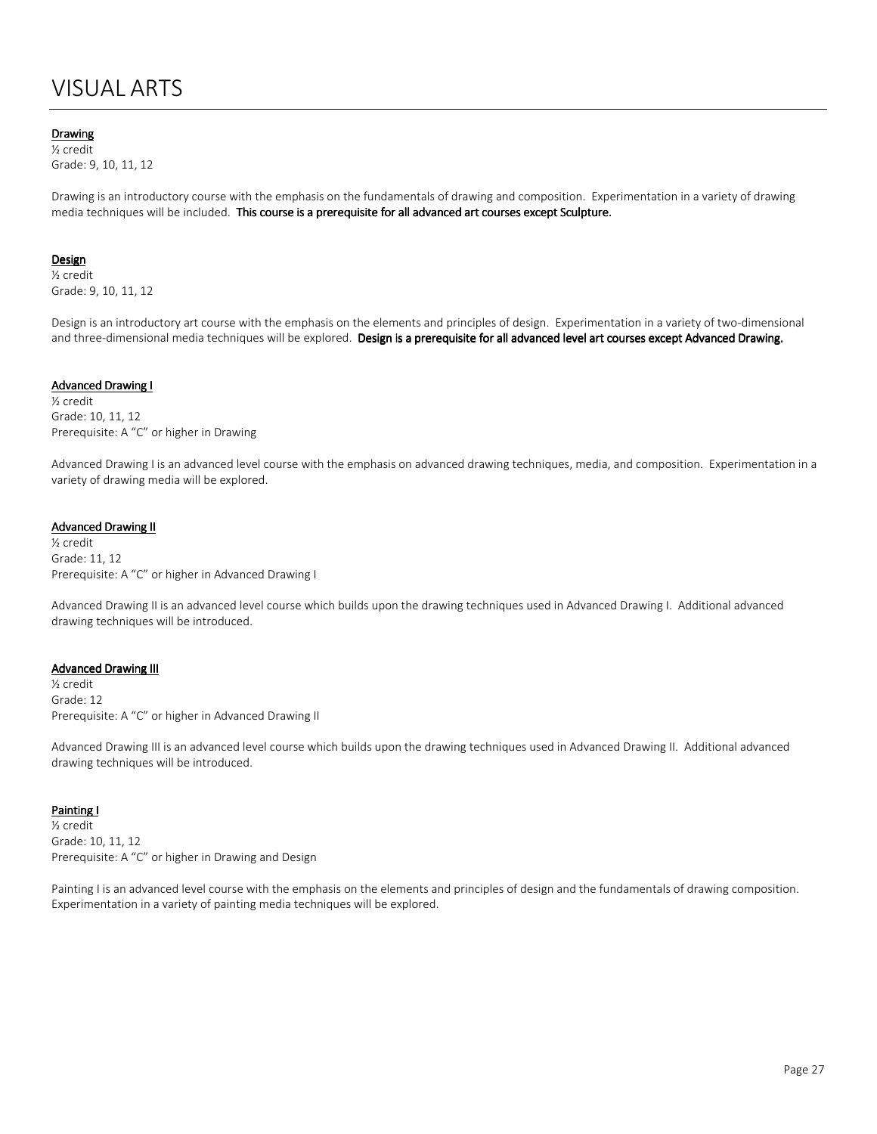# VISUAL ARTS

### Drawing

½ credit Grade: 9, 10, 11, 12

Drawing is an introductory course with the emphasis on the fundamentals of drawing and composition. Experimentation in a variety of drawing media techniques will be included. This course is a prerequisite for all advanced art courses except Sculpture.

#### **Design**

½ credit Grade: 9, 10, 11, 12

Design is an introductory art course with the emphasis on the elements and principles of design. Experimentation in a variety of two-dimensional and three-dimensional media techniques will be explored. Design is a prerequisite for all advanced level art courses except Advanced Drawing.

#### Advanced Drawing I

½ credit Grade: 10, 11, 12 Prerequisite: A "C" or higher in Drawing

Advanced Drawing I is an advanced level course with the emphasis on advanced drawing techniques, media, and composition. Experimentation in a variety of drawing media will be explored.

#### **Advanced Drawing II**

½ credit Grade: 11, 12 Prerequisite: A "C" or higher in Advanced Drawing I

Advanced Drawing II is an advanced level course which builds upon the drawing techniques used in Advanced Drawing I. Additional advanced drawing techniques will be introduced.

#### **Advanced Drawing III**

½ credit Grade: 12 Prerequisite: A "C" or higher in Advanced Drawing II

Advanced Drawing III is an advanced level course which builds upon the drawing techniques used in Advanced Drawing II. Additional advanced drawing techniques will be introduced.

#### **Painting I**

½ credit Grade: 10, 11, 12 Prerequisite: A "C" or higher in Drawing and Design

Painting I is an advanced level course with the emphasis on the elements and principles of design and the fundamentals of drawing composition. Experimentation in a variety of painting media techniques will be explored.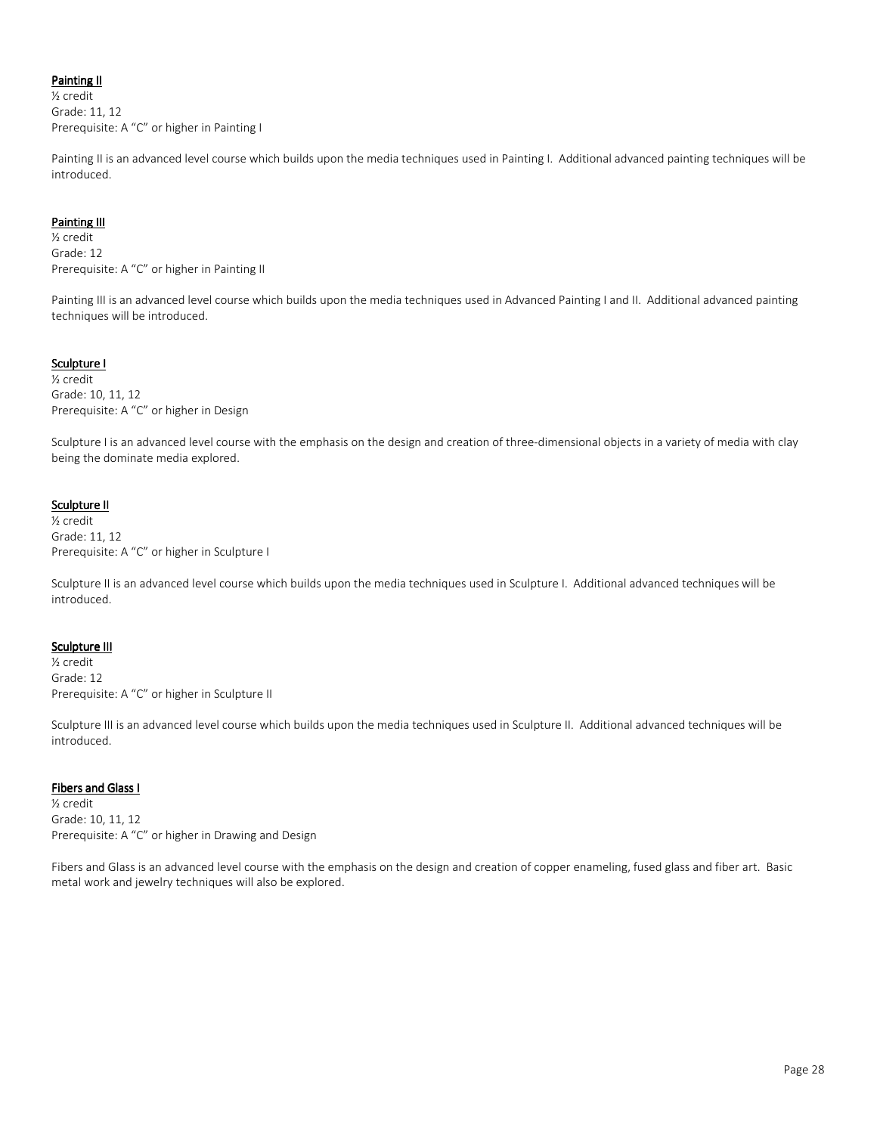# Painting II

½ credit Grade: 11, 12 Prerequisite: A "C" or higher in Painting I

Painting II is an advanced level course which builds upon the media techniques used in Painting I. Additional advanced painting techniques will be introduced.

### Painting III

½ credit Grade: 12 Prerequisite: A "C" or higher in Painting II

Painting III is an advanced level course which builds upon the media techniques used in Advanced Painting I and II. Additional advanced painting techniques will be introduced.

# Sculpture I

½ credit Grade: 10, 11, 12 Prerequisite: A "C" or higher in Design

Sculpture I is an advanced level course with the emphasis on the design and creation of three-dimensional objects in a variety of media with clay being the dominate media explored.

# Sculpture II

½ credit Grade: 11, 12 Prerequisite: A "C" or higher in Sculpture I

Sculpture II is an advanced level course which builds upon the media techniques used in Sculpture I. Additional advanced techniques will be introduced.

# Sculpture III

½ credit Grade: 12 Prerequisite: A "C" or higher in Sculpture II

Sculpture III is an advanced level course which builds upon the media techniques used in Sculpture II. Additional advanced techniques will be introduced.

# **Fibers and Glass I**

½ credit Grade: 10, 11, 12 Prerequisite: A "C" or higher in Drawing and Design

Fibers and Glass is an advanced level course with the emphasis on the design and creation of copper enameling, fused glass and fiber art. Basic metal work and jewelry techniques will also be explored.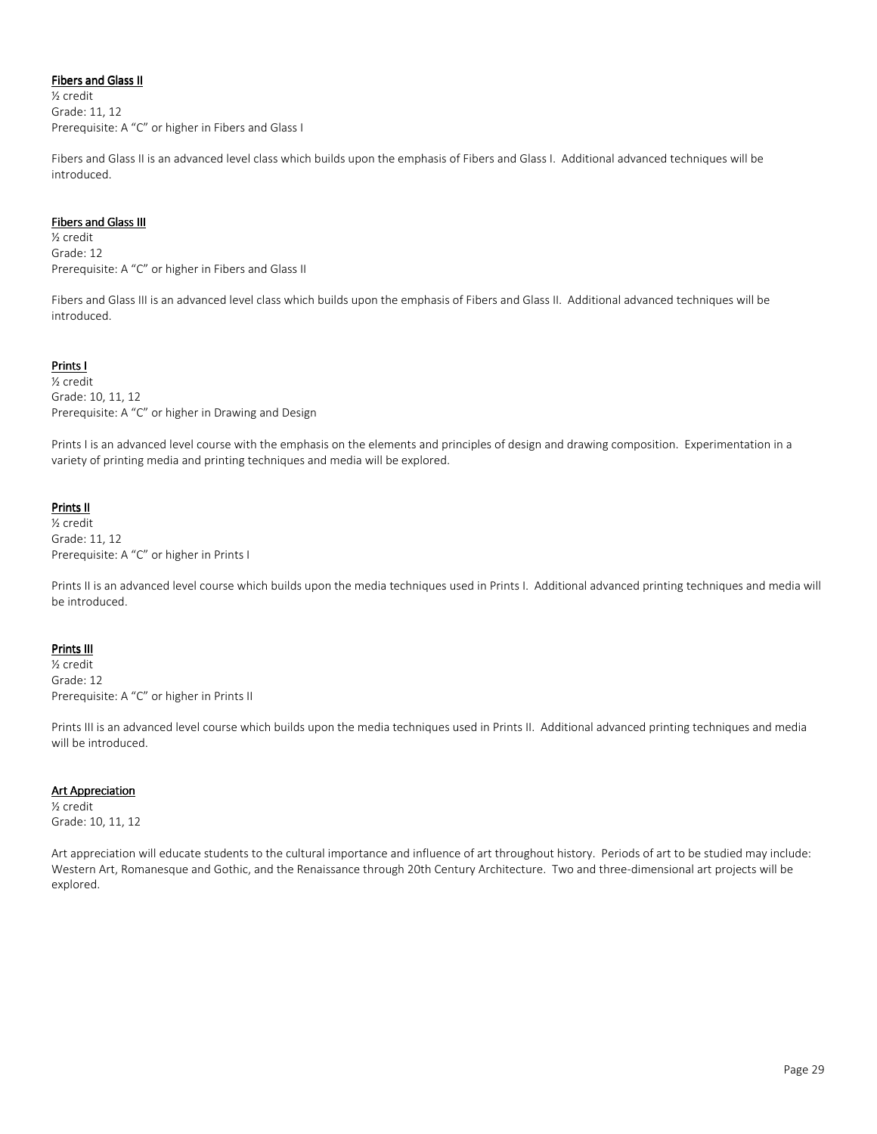# **Fibers and Glass II**

½ credit Grade: 11, 12 Prerequisite: A "C" or higher in Fibers and Glass I

Fibers and Glass II is an advanced level class which builds upon the emphasis of Fibers and Glass I. Additional advanced techniques will be introduced.

#### Fibers and Glass III

½ credit Grade: 12 Prerequisite: A "C" or higher in Fibers and Glass II

Fibers and Glass III is an advanced level class which builds upon the emphasis of Fibers and Glass II. Additional advanced techniques will be introduced.

# Prints I

½ credit Grade: 10, 11, 12 Prerequisite: A "C" or higher in Drawing and Design

Prints I is an advanced level course with the emphasis on the elements and principles of design and drawing composition. Experimentation in a variety of printing media and printing techniques and media will be explored.

### Prints II

½ credit Grade: 11, 12 Prerequisite: A "C" or higher in Prints I

Prints II is an advanced level course which builds upon the media techniques used in Prints I. Additional advanced printing techniques and media will be introduced.

#### **Prints III**

½ credit Grade: 12 Prerequisite: A "C" or higher in Prints II

Prints III is an advanced level course which builds upon the media techniques used in Prints II. Additional advanced printing techniques and media will be introduced.

#### **Art Appreciation**

½ credit Grade: 10, 11, 12

Art appreciation will educate students to the cultural importance and influence of art throughout history. Periods of art to be studied may include: Western Art, Romanesque and Gothic, and the Renaissance through 20th Century Architecture. Two and three-dimensional art projects will be explored.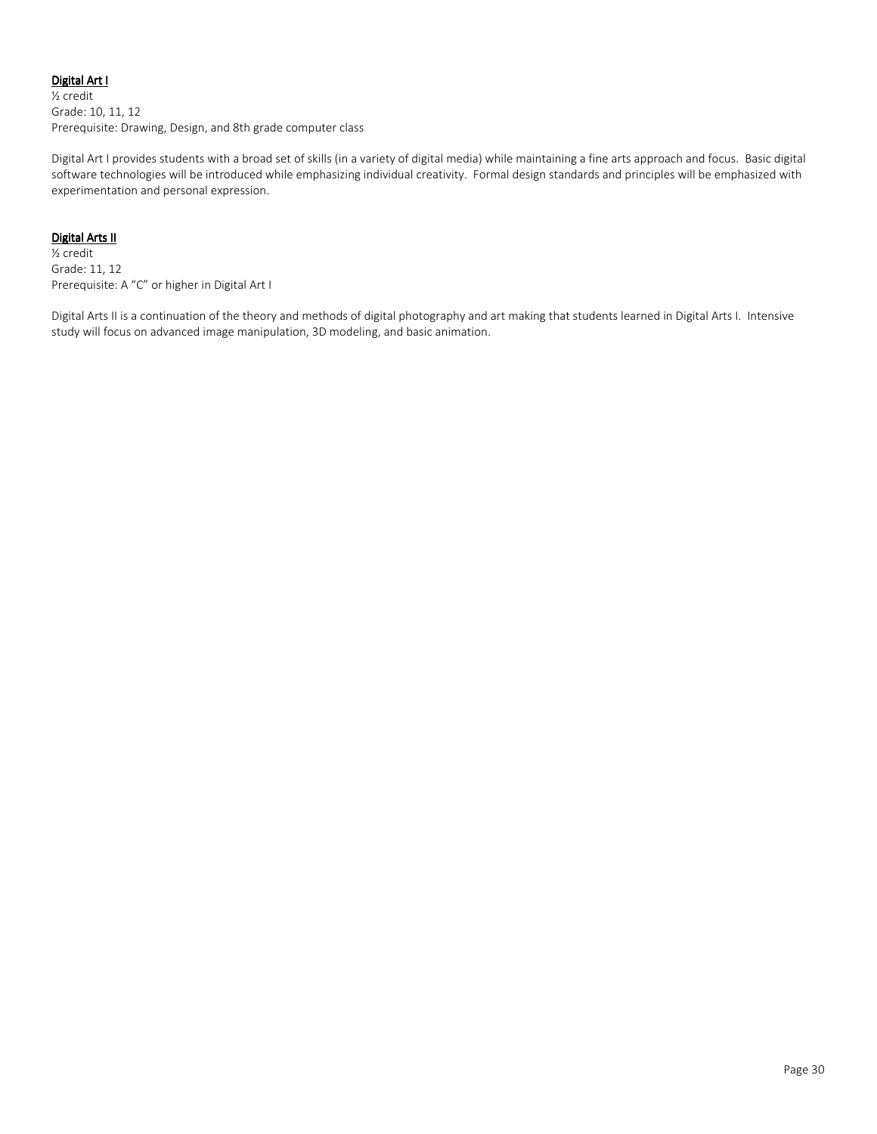# Digital Art I

½ credit Grade: 10, 11, 12 Prerequisite: Drawing, Design, and 8th grade computer class

Digital Art I provides students with a broad set of skills (in a variety of digital media) while maintaining a fine arts approach and focus. Basic digital software technologies will be introduced while emphasizing individual creativity. Formal design standards and principles will be emphasized with experimentation and personal expression.

# Digital Arts II

½ credit Grade: 11, 12 Prerequisite: A "C" or higher in Digital Art I

Digital Arts II is a continuation of the theory and methods of digital photography and art making that students learned in Digital Arts I. Intensive study will focus on advanced image manipulation, 3D modeling, and basic animation.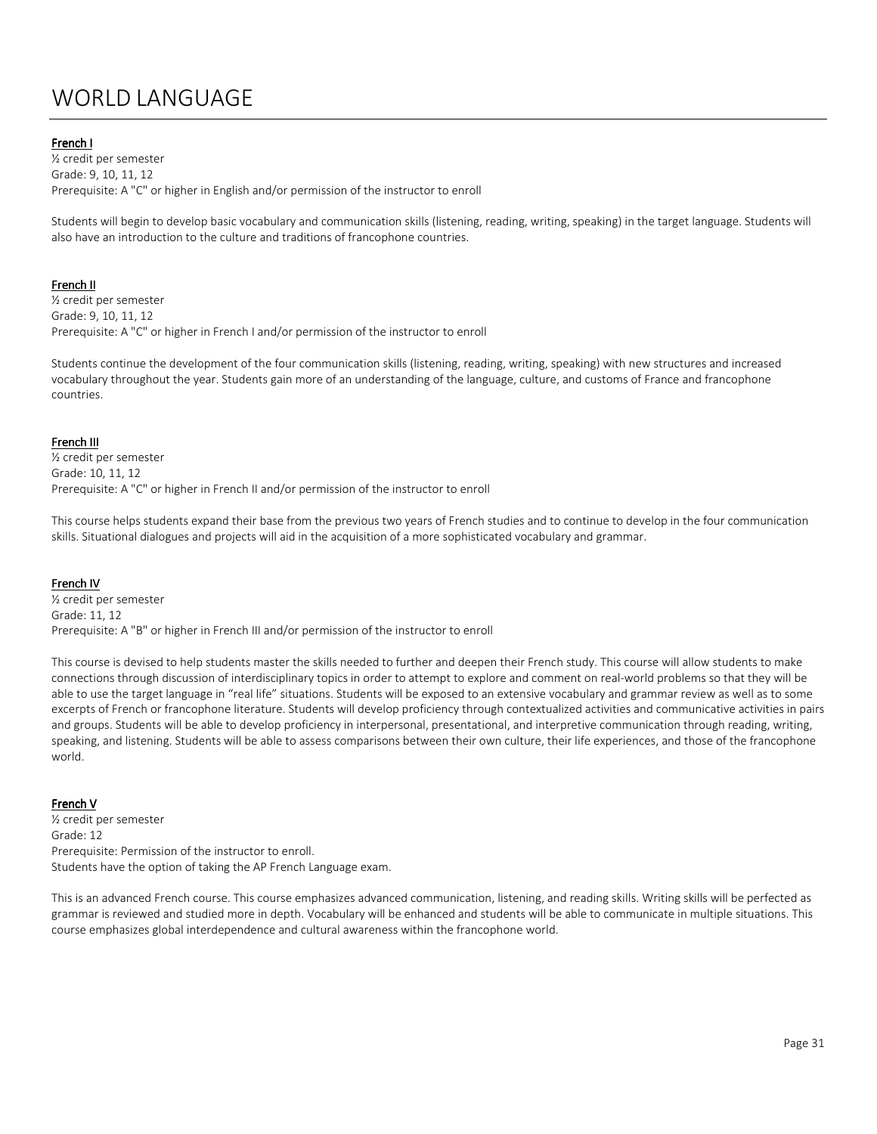# WORLD LANGUAGE

### French I

½ credit per semester Grade: 9, 10, 11, 12 Prerequisite: A "C" or higher in English and/or permission of the instructor to enroll

Students will begin to develop basic vocabulary and communication skills (listening, reading, writing, speaking) in the target language. Students will also have an introduction to the culture and traditions of francophone countries.

#### French II

½ credit per semester Grade: 9, 10, 11, 12 Prerequisite: A "C" or higher in French I and/or permission of the instructor to enroll

Students continue the development of the four communication skills (listening, reading, writing, speaking) with new structures and increased vocabulary throughout the year. Students gain more of an understanding of the language, culture, and customs of France and francophone countries.

#### French III

½ credit per semester Grade: 10, 11, 12 Prerequisite: A "C" or higher in French II and/or permission of the instructor to enroll

This course helps students expand their base from the previous two years of French studies and to continue to develop in the four communication skills. Situational dialogues and projects will aid in the acquisition of a more sophisticated vocabulary and grammar.

#### French IV

½ credit per semester Grade: 11, 12 Prerequisite: A "B" or higher in French III and/or permission of the instructor to enroll

This course is devised to help students master the skills needed to further and deepen their French study. This course will allow students to make connections through discussion of interdisciplinary topics in order to attempt to explore and comment on real-world problems so that they will be able to use the target language in "real life" situations. Students will be exposed to an extensive vocabulary and grammar review as well as to some excerpts of French or francophone literature. Students will develop proficiency through contextualized activities and communicative activities in pairs and groups. Students will be able to develop proficiency in interpersonal, presentational, and interpretive communication through reading, writing, speaking, and listening. Students will be able to assess comparisons between their own culture, their life experiences, and those of the francophone world.

#### French V

½ credit per semester Grade: 12 Prerequisite: Permission of the instructor to enroll. Students have the option of taking the AP French Language exam.

This is an advanced French course. This course emphasizes advanced communication, listening, and reading skills. Writing skills will be perfected as grammar is reviewed and studied more in depth. Vocabulary will be enhanced and students will be able to communicate in multiple situations. This course emphasizes global interdependence and cultural awareness within the francophone world.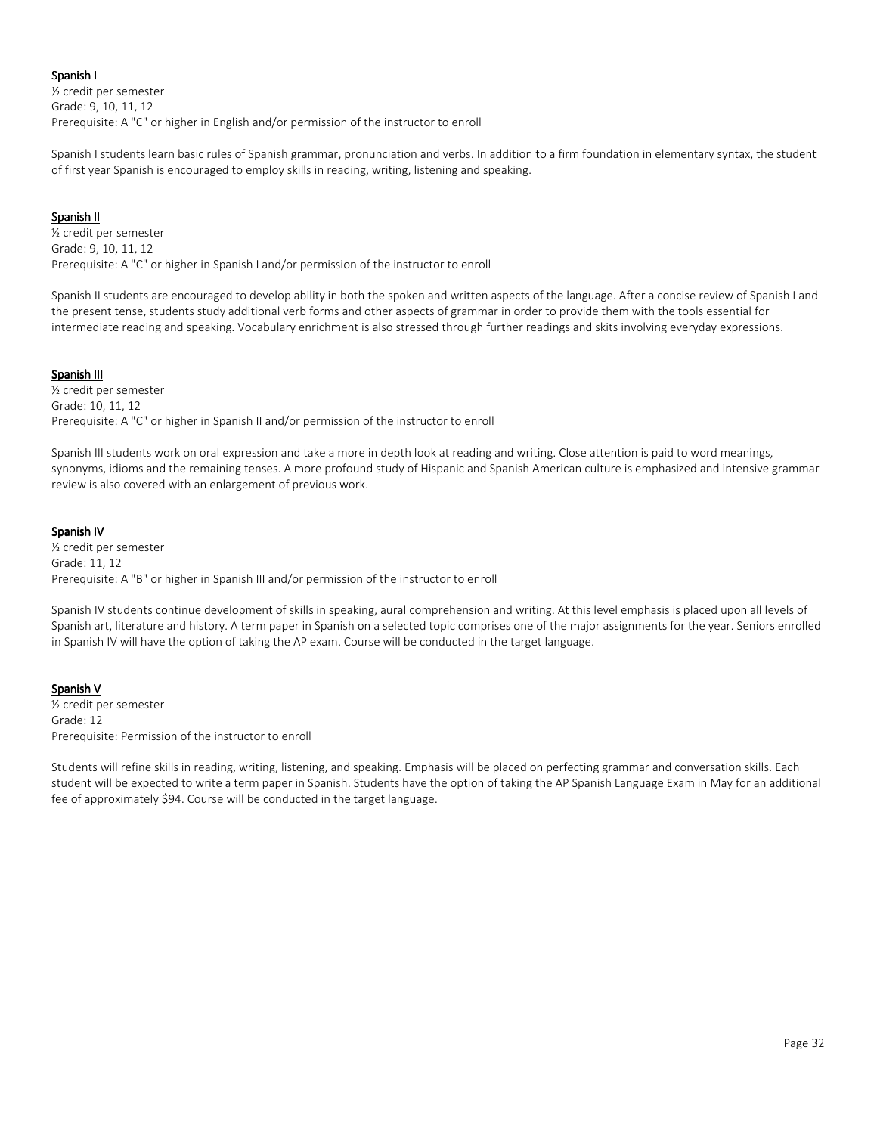### Spanish I

½ credit per semester Grade: 9, 10, 11, 12 Prerequisite: A "C" or higher in English and/or permission of the instructor to enroll

Spanish I students learn basic rules of Spanish grammar, pronunciation and verbs. In addition to a firm foundation in elementary syntax, the student of first year Spanish is encouraged to employ skills in reading, writing, listening and speaking.

### Spanish II

½ credit per semester Grade: 9, 10, 11, 12 Prerequisite: A "C" or higher in Spanish I and/or permission of the instructor to enroll

Spanish II students are encouraged to develop ability in both the spoken and written aspects of the language. After a concise review of Spanish I and the present tense, students study additional verb forms and other aspects of grammar in order to provide them with the tools essential for intermediate reading and speaking. Vocabulary enrichment is also stressed through further readings and skits involving everyday expressions.

# Spanish III

½ credit per semester Grade: 10, 11, 12 Prerequisite: A "C" or higher in Spanish II and/or permission of the instructor to enroll

Spanish III students work on oral expression and take a more in depth look at reading and writing. Close attention is paid to word meanings, synonyms, idioms and the remaining tenses. A more profound study of Hispanic and Spanish American culture is emphasized and intensive grammar review is also covered with an enlargement of previous work.

### Spanish IV

½ credit per semester Grade: 11, 12 Prerequisite: A "B" or higher in Spanish III and/or permission of the instructor to enroll

Spanish IV students continue development of skills in speaking, aural comprehension and writing. At this level emphasis is placed upon all levels of Spanish art, literature and history. A term paper in Spanish on a selected topic comprises one of the major assignments for the year. Seniors enrolled in Spanish IV will have the option of taking the AP exam. Course will be conducted in the target language.

#### Spanish V

½ credit per semester Grade: 12 Prerequisite: Permission of the instructor to enroll

Students will refine skills in reading, writing, listening, and speaking. Emphasis will be placed on perfecting grammar and conversation skills. Each student will be expected to write a term paper in Spanish. Students have the option of taking the AP Spanish Language Exam in May for an additional fee of approximately \$94. Course will be conducted in the target language.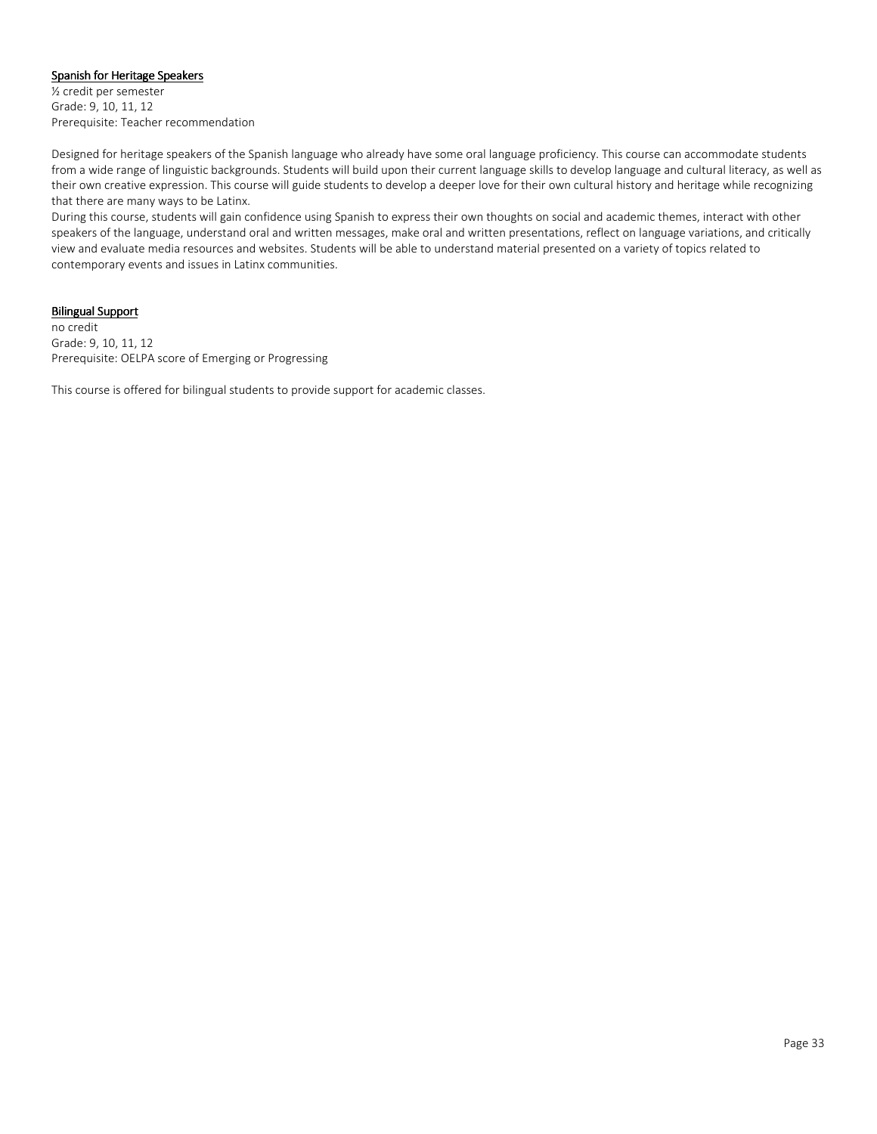#### Spanish for Heritage Speakers

½ credit per semester Grade: 9, 10, 11, 12 Prerequisite: Teacher recommendation

Designed for heritage speakers of the Spanish language who already have some oral language proficiency. This course can accommodate students from a wide range of linguistic backgrounds. Students will build upon their current language skills to develop language and cultural literacy, as well as their own creative expression. This course will guide students to develop a deeper love for their own cultural history and heritage while recognizing that there are many ways to be Latinx.

During this course, students will gain confidence using Spanish to express their own thoughts on social and academic themes, interact with other speakers of the language, understand oral and written messages, make oral and written presentations, reflect on language variations, and critically view and evaluate media resources and websites. Students will be able to understand material presented on a variety of topics related to contemporary events and issues in Latinx communities.

#### **Bilingual Support**

no credit Grade: 9, 10, 11, 12 Prerequisite: OELPA score of Emerging or Progressing

This course is offered for bilingual students to provide support for academic classes.